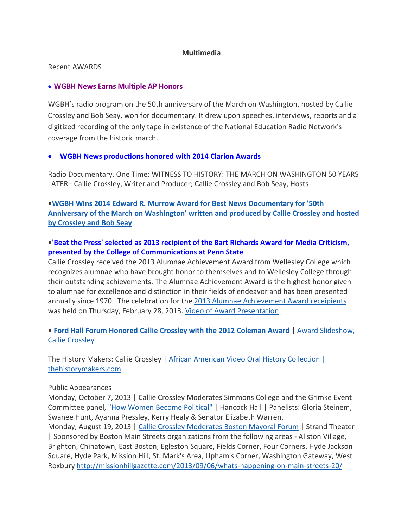#### **Multimedia**

Recent AWARDS

#### **[WGBH News Earns Multiple AP Honors](http://www.wgbh.org/press/press_release.cfm?pid=42cc0b6a-2219-56f5-66ae-fd4b0104a689)**

WGBH's radio program on the [50th anniversary of the March on Washington,](http://wgbhnews.org/witness-history-march-washington-50-years-later) hosted by Callie Crossley and Bob Seay, won for documentary. It drew upon speeches, interviews, reports and a digitized recording of the only tape in existence of the National Education Radio Network's coverage from the historic march.

### **[WGBH News productions honored with 2014 Clarion Awards](http://www.wgbh.org/press/press_release.cfm?pid=8e135969-2219-56f5-6627-fd66b3eb7959)**

Radio Documentary, One Time: [WITNESS TO HISTORY: THE MARCH ON WASHINGTON 50 YEARS](http://wgbhnews.org/witness-history-march-washington-50-years-later)  [LATER](http://wgbhnews.org/witness-history-march-washington-50-years-later)– Callie Crossley, Writer and Producer; Callie Crossley and Bob Seay, Hosts

•**WGBH Wins 2014 Edward R. Murrow Award for Best News [Documentary](http://www.wgbh.org/press/press_release.cfm?pid=8b460e4f-2219-56f5-6670-e405d7e0c2e2) for '50th Anniversary of the March on [Washington'](http://www.wgbh.org/press/press_release.cfm?pid=8b460e4f-2219-56f5-6670-e405d7e0c2e2) written and produced by Callie Crossley and hosted by [Crossley](http://www.wgbh.org/press/press_release.cfm?pid=8b460e4f-2219-56f5-6670-e405d7e0c2e2) and Bob Seay**

•**'Beat the Press' selected as 2013 recipient of the Bart Richards Award for Media [Criticism,](http://news.psu.edu/story/310777/2014/04/07/%E2%80%98beat-press%E2%80%99-selected-bart-richards-award-winner) presented by the College of [Communications](http://news.psu.edu/story/310777/2014/04/07/%E2%80%98beat-press%E2%80%99-selected-bart-richards-award-winner) at Penn State**

Callie Crossley received the 2013 Alumnae Achievement Award from Wellesley College which recognizes alumnae who have brought honor to themselves and to Wellesley College through their outstanding achievements. The Alumnae Achievement Award is the highest honor given to alumnae for excellence and distinction in their fields of endeavor and has been presented annually since 1970. The celebration for the 2013 Alumnae [Achievement](http://new.wellesley.edu/alumnae/awards/achievementawards/2013_recipients) Award receipients was held on Thursday, February 28, 2013. Video of Award [Presentation](http://www.youtube.com/watch?v=6HiD_fiPovI)

• **Ford Hall Forum Honored Callie Crossley with the 2012 [Coleman](http://www.fordhallforum.org/about/2012-coleman-award) Award |** Award [Slideshow,](http://www.youtube.com/watch?v=b5C8QXk7HLo) Callie [Crossley](http://www.youtube.com/watch?v=b5C8QXk7HLo)

The Histor[y](http://www.thehistorymakers.com/biography/callie-crossley) Makers: Callie Crossley | African American Video Oral History [Collection](http://www.thehistorymakers.com/biography/callie-crossley) | [thehistorymakers.com](http://www.thehistorymakers.com/biography/callie-crossley)

#### Public Appearances

Monday, October 7, 2013 | Callie Crossley Moderates Simmons College and the Grimke Event Committee panel, "How Women Become [Political"](http://discovervideo.com/events/simmons/20131007/) | Hancock Hall | Panelists: Gloria Steinem, Swanee Hunt, Ayanna Pressley, Kerry Healy & Senator Elizabeth Warren.

Monday, August 19, 2013 | Callie Crossley [Moderates](http://www.youtube.com/embed/YSerx66xYHY?rel=0) Boston Mayoral Forum | Strand Theater | Sponsored by Boston Main Streets organizations from the following areas - Allston Village, Brighton, Chinatown, East Boston, Egleston Square, Fields Corner, Four Corners, Hyde Jackson Square, Hyde Park, Mission Hill, St. Mark's Area, Upham's Corner, Washington Gateway, West Roxbury <http://missionhillgazette.com/2013/09/06/whats-happening-on-main-streets-20/>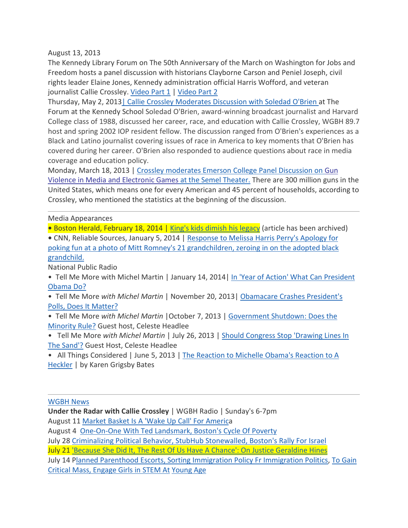August 13, 2013

The Kennedy Library Forum on The 50th Anniversary of the March on Washington for Jobs and Freedom hosts a panel discussion with historians Clayborne Carson and Peniel Joseph, civil rights leader Elaine Jones, Kennedy administration official Harris Wofford, and veteran journalist Callie Crossley. [Video](http://www.jfklibrary.org/Asset-Viewer/mEvv9f7BpkWv-AV9VdbYPQ.aspx) Part 1 | [Video](http://www.jfklibrary.org/Asset-Viewer/Xm5Ob6s_fUCWejK7DsQO1A.aspx) Part 2

Thursday, May 2, 2013 | Callie Crossley [Moderates](https://forum.iop.harvard.edu/content/conversation-soledad-obrien-callie-crossley) Discussion with Soledad O'Brien at The Forum at the Kennedy School Soledad O'Brien, award-winning broadcast journalist and Harvard College class of 1988, discussed her career, race, and education with Callie Crossley, WGBH 89.7 host and spring 2002 IOP resident fellow. The discussion ranged from O'Brien's experiences as a Black and Latino journalist covering issues of race in America to key moments that O'Brien has covered during her career. O'Brien also responded to audience questions about race in media coverage and education policy.

Monday, March 18, 2013 | Crossley [moderates](http://www.emerson.edu/news-events/emerson-college-today/video-games-gun-violence#.UYrFg2S9Kc0) Emerson College Panel Discussion on [Gun](http://www.emerson.edu/news-events/emerson-college-today/video-games-gun-violence#.UYrFg2S9Kc0) Violence in Media and [Electronic](http://www.emerson.edu/news-events/emerson-college-today/video-games-gun-violence#.UYrFg2S9Kc0) Games at the Semel [Theater.](http://www.emerson.edu/news-events/emerson-college-today/video-games-gun-violence#.UYrFg2S9Kc0) There are 300 million guns in the United States, which means one for every American and 45 percent of households, according to Crossley, who mentioned the statistics at the beginning of the discussion.

Media Appearances

• Boston Herald, February 18, 2014 | King's kids [dimish](http://bostonherald.com/news_opinion/opinion/op_ed/2014/02/king_s_kids_diminish_his_legacy) his legacy (article has been archived) **•** CNN, Reliable Sources, January 5, 2014 | [Response](http://reliablesources.blogs.cnn.com/2014/01/04/sneak-peek-at-the-jan-5-show/) to Melissa Harris Perry's Apology for poking fun at a photo of Mitt Romney's 21 [grandchildren,](http://reliablesources.blogs.cnn.com/2014/01/04/sneak-peek-at-the-jan-5-show/) zeroing in on the adopted black [grandchild.](http://reliablesources.blogs.cnn.com/2014/01/04/sneak-peek-at-the-jan-5-show/)

National Public Radio

- Tell Me More with Michel Martin | January 14, 2014 | In 'Year of Action' What Can [President](http://www.npr.org/2014/01/16/263077687/in-year-of-action-what-can-president-obama-do) [Obama](http://www.npr.org/2014/01/16/263077687/in-year-of-action-what-can-president-obama-do) Do?
- Tell Me More *with Michel Martin* | November 20, 2013| [Obamacare](http://www.npr.org/templates/story/story.php?storyId=246334546) Crashes President's Polls, Does It [Matter?](http://www.npr.org/templates/story/story.php?storyId=246334546)
- Tell Me More *with Michel Martin* |October 7, 2013 | [Government](http://www.npr.org/templates/story/story.php?storyId=230126249) Shutdown: Does the [Minority](http://www.npr.org/templates/story/story.php?storyId=230126249) Rule? Guest host, Celeste Headlee
- Tell Me More *with Michel Martin* | July 26, 2013 | Should [Congress](http://www.npr.org/templates/story/story.php?storyId=205794135) Stop 'Drawing Lines In The [Sand'?](http://www.npr.org/templates/story/story.php?storyId=205794135) Guest Host, Celeste Headlee
- All Things Considered | June 5, 2013 | The Reaction to Michelle Obama's [Reaction](http://www.npr.org/templates/story/story.php?storyId=188974168) to A [Heckler](http://www.npr.org/templates/story/story.php?storyId=188974168) | by Karen Grigsby Bates

#### [WGBH](http://wgbhnews.org/) News

**Under the Radar with Callie Crossley** | WGBH Radio | Sunday's 6-7pm

August 11 Market Basket Is A 'Wake Up Call' For [America](http://wgbhnews.org/post/market-basket-wake-call-america)

August 4 [One-On-One](http://wgbhnews.org/post/one-one-ted-landsmark-bostons-cycle-poverty-under-radar-8314) With Ted Landsmark, Boston's Cycle Of [Poverty](http://wgbhnews.org/post/one-one-ted-landsmark-bostons-cycle-poverty-under-radar-8314)

July 28 Criminalizing Political Behavior, StubHub [Stonewalled,](http://wgbhnews.org/post/criminalizing-political-behavior-stubhub-stonewalled-bostons-rally-israel-under-radar) Boston's Rally For Israel

July 21 'Because She Did It, The Rest Of Us Have A Chance': On Justice Geraldine Hines

July 14 Planned Parenthood Escorts, Sorting [Immigration](http://wgbhnews.org/post/planned-parenthood-escorts-sorting-immigration-policy-immigration-politics-under-radar) Policy Fr Immigration Politics, To [Gain](http://wgbhnews.org/post/gain-critical-mass-engage-girls-stem-young-age) Critical Mass, [Engage](http://wgbhnews.org/post/gain-critical-mass-engage-girls-stem-young-age) Girls in STEM At [Young](http://wgbhnews.org/post/gain-critical-mass-engage-girls-stem-young-age) Age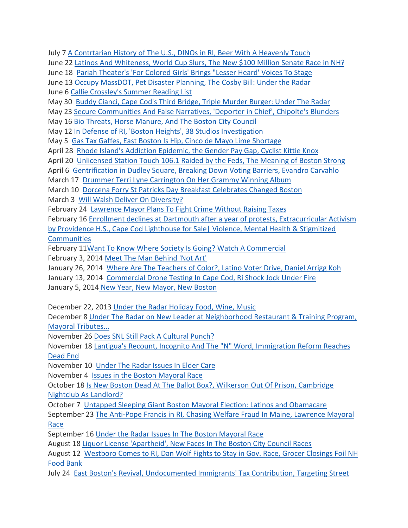| July 7 A Contrtarian History of The U.S., DINOs in RI, Beer With A Heavenly Touch               |
|-------------------------------------------------------------------------------------------------|
| June 22 Latinos And Whiteness, World Cup Slurs, The New \$100 Million Senate Race in NH?        |
| June 18 Pariah Theater's 'For Colored Girls' Brings "Lesser Heard' Voices To Stage              |
| June 13 Occupy MassDOT, Pet Disaster Planning, The Cosby Bill: Under the Radar                  |
| June 6 Callie Crossley's Summer Reading List                                                    |
| May 30 Buddy Cianci, Cape Cod's Third Bridge, Triple Murder Burger: Under The Radar             |
| May 23 Secure Communities And False Narratives, 'Deporter in Chief', Chipolte's Blunders        |
| May 16 Bio Threats, Horse Manure, And The Boston City Council                                   |
| May 12 In Defense of RI, 'Boston Heights', 38 Studios Investigation                             |
| May 5 Gas Tax Gaffes, East Boston Is Hip, Cinco de Mayo Lime Shortage                           |
| April 28 Rhode Island's Addiction Epidemic, the Gender Pay Gap, Cyclist Kittie Knox             |
| April 20 Unlicensed Station Touch 106.1 Raided by the Feds, The Meaning of Boston Strong        |
| April 6 Gentrification in Dudley Square, Breaking Down Voting Barriers, Evandro Carvahlo        |
| March 17 Drummer Terri Lyne Carrington On Her Grammy Winning Album                              |
| March 10 Dorcena Forry St Patricks Day Breakfast Celebrates Changed Boston                      |
| March 3 Will Walsh Deliver On Diversity?                                                        |
| February 24 Lawrence Mayor Plans To Fight Crime Without Raising Taxes                           |
| February 16 Enrollment declines at Dartmouth after a year of protests, Extracurricular Activism |
| by Providence H.S., Cape Cod Lighthouse for Sale   Violence, Mental Health & Stigmitized        |
| <b>Communities</b>                                                                              |
| February 11 Want To Know Where Society Is Going? Watch A Commercial                             |
| February 3, 2014 Meet The Man Behind 'Not Art'                                                  |
| January 26, 2014 Where Are The Teachers of Color?, Latino Voter Drive, Daniel Arrigg Koh        |
| January 13, 2014 Commercial Drone Testing In Cape Cod, Ri Shock Jock Under Fire                 |
| January 5, 2014 New Year, New Mayor, New Boston                                                 |
|                                                                                                 |
| December 22, 2013 Under the Radar Holiday Food, Wine, Music                                     |
| December 8 Under The Radar on New Leader at Neighborhood Restaurant & Training Program,         |
| <b>Mayoral Tributes</b>                                                                         |
| November 26 Does SNL Still Pack A Cultural Punch?                                               |
| November 18 Lantigua's Recount, Incognito And The "N" Word, Immigration Reform Reaches          |
| Dead End                                                                                        |
| November 10 Under The Radar Issues In Elder Care                                                |
| November 4 Issues in the Boston Mayoral Race                                                    |
| October 18 Is New Boston Dead At The Ballot Box?, Wilkerson Out Of Prison, Cambridge            |
| <b>Nightclub As Landlord?</b>                                                                   |
| October 7 Untapped Sleeping Giant Boston Mayoral Election: Latinos and Obamacare                |
| September 23 The Anti-Pope Francis in RI, Chasing Welfare Fraud In Maine, Lawrence Mayoral      |
| Race                                                                                            |
| September 16 Under the Radar Issues In The Boston Mayoral Race                                  |
| August 18 Liquor License 'Apartheid', New Faces In The Boston City Council Races                |
| August 12 Westboro Comes to RI, Dan Wolf Fights to Stay in Gov. Race, Grocer Closings Foil NH   |
| <b>Food Bank</b>                                                                                |
| July 24 East Boston's Revival, Undocumented Immigrants' Tax Contribution, Targeting Street      |
|                                                                                                 |
|                                                                                                 |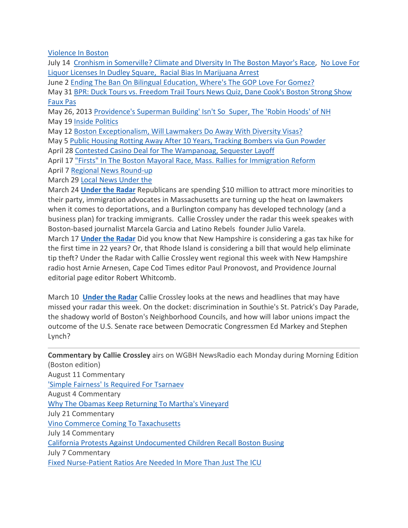Violence In Boston

July 14 Cronhism in [Somerville?](http://wgbhnews.org/post/under-radar-71413-cronyism-somerville-climate-and-diversity-boston-mayors-race) Climate and DIversity In The Boston Mayor's Race, No [Love](http://www.wgbhnews.org/post/under-radar-6913-no-love-liquor-licenses-dudley-sq-racial-bias-marijuana-arrests) For Liquor Licenses In Dudley [Square, Racial](http://www.wgbhnews.org/post/under-radar-6913-no-love-liquor-licenses-dudley-sq-racial-bias-marijuana-arrests) Bias In Marijuana Arrest

June 2 Ending The Ban On Bilingual [Education,](http://www.wgbhnews.org/post/6213-ending-ban-bilingual-education-wheres-gop-love-gomez) Where's The GOP Love For Gomez?

May 31 BPR: Duck Tours vs. [Freedom](http://www.wgbhnews.org/post/bpr-duck-tours-vs-freedom-trail-tours-news-quiz-dane-cooks-boston-strong-show-faux-pas) Trail Tours News Quiz, Dane Cook's Boston Strong Show [Faux](http://www.wgbhnews.org/post/bpr-duck-tours-vs-freedom-trail-tours-news-quiz-dane-cooks-boston-strong-show-faux-pas) Pas

May 26, 2013 [Providence's](http://www.wgbhnews.org/post/52613-providences-superman-building-isnt-so-super-robin-hoods-nh) Superman Building' Isn't So Super, The 'Robin Hoods' of NH May 19 Inside [Politics](http://www.wgbhnews.org/post/under-radar-51913-inside-politics)

May 12 Boston [Exceptionalism,](http://www.wgbhnews.org/post/under-radar-51213-boston-exceptionalism-will-lawmakers-do-away-diversity-visas) Will Lawmakers Do Away With Diversity Visas?

May 5 Public Housing Rotting Away After 10 Years, Tracking [Bombers](http://www.wgbhnews.org/post/under-radar-5513-public-housing-rotting-away-after-10-years-tracking-bombers-gun-powder) via Gun Powder

April 28 [Contested](http://www.wgbhnews.org/post/under-radar-42813-contested-casino-deal-wampanoag-sequester-layoffs) Casino Deal for The [Wampanoag,](http://www.wgbhnews.org/post/under-radar-42813-contested-casino-deal-wampanoag-sequester-layoffs) Sequester Layoff

April 17 "Firsts" In The Boston Mayoral Race, Mass. Rallies for Immigration Reform

April 7 Regional News [Round-up](http://www.wgbhnews.org/post/under-radar-4713-0)

March 29 Local News [Under](http://www.wgbhnews.org/post/under-radar-32913) the

March 24 **[Under](http://http/www.wgbhnews.org/post/under-radar-32413) the Radar** Republicans are spending \$10 million to attract more minorities to their party, immigration advocates in Massachusetts are turning up the heat on lawmakers when it comes to deportations, and a Burlington company has developed technology (and a business plan) for tracking immigrants. Callie Crossley under the radar this week speakes with Boston-based journalist Marcela Garcia and Latino Rebels founder Julio Varela. March 17 **[Under](http://www.wgbhnews.org/post/under-radar-regional-edition-31713) the Radar** Did you know that New Hampshire is considering a gas tax hike for

the first time in 22 years? Or, that Rhode Island is considering a bill that would help eliminate tip theft? Under the Radar with Callie Crossley went regional this week with New Hampshire radio host Arnie Arnesen, Cape Cod Times editor Paul Pronovost, and Providence Journal editorial page editor Robert Whitcomb.

March 10 **[Under](http://www.wgbhnews.org/post/under-radar-callie-crossley-31013) the Radar** Callie Crossley looks at the news and headlines that may have missed your radar this week. On the docket: discrimination in Southie's St. Patrick's Day Parade, the shadowy world of Boston's Neighborhood Councils, and how will labor unions impact the outcome of the U.S. Senate race between Democratic Congressmen Ed Markey and Stephen Lynch?

**Commentary by Callie Crossley** airs on WGBH NewsRadio each Monday during Morning Edition (Boston edition) August 11 Commentary 'Simple Fairness' Is [Required](http://wgbhnews.org/post/simple-fairness-required-tsarnaev) For Tsarnaev August 4 Commentary Why The Obamas Keep [Returning](http://wgbhnews.org/post/why-obamas-keep-returning-marthas-vineyard) To Martha's Vineyard July 21 Commentary Vino Commerce Coming To [Taxachusetts](http://wgbhnews.org/post/vino-commerce-coming-taxachusetts-0) July 14 Commentary California Protests Against [Undocumented](http://wgbhnews.org/post/california-protests-against-undocumented-children-recall-boston-busing) Children Recall Boston Busing July 7 Commentary

Fixed [Nurse-Patient](http://wgbhnews.org/post/fixed-nurse-patient-ratios-are-needed-more-just-icu) Ratios Are Needed In More Than Just The ICU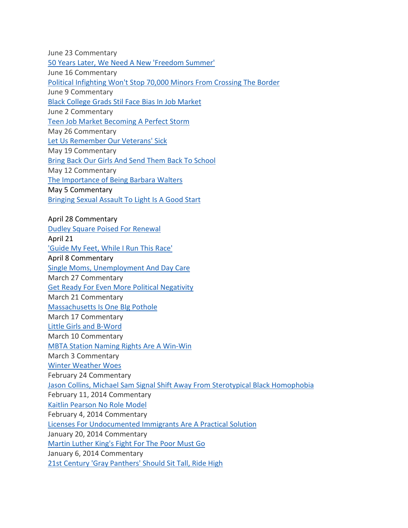June 23 Commentary 50 Years Later, We Need A New ['Freedom](http://wgbhnews.org/post/50-years-later-we-need-new-freedom-summer) Summer' June 16 Commentary Political [Infighting](http://wgbhnews.org/post/political-infighting-wont-stop-70000-minors-crossing-border) Won't Stop 70,000 Minors From Crossing The Border June 9 Commentary Black [College](http://wgbhnews.org/post/black-college-grads-still-face-bias-job-market) Grads Stil Face Bias In Job Market June 2 Commentary [Te](http://wgbhnews.org/post/teen-job-market-becoming-perfect-storm)en Job Market [Becoming](http://wgbhnews.org/post/teen-job-market-becoming-perfect-storm) A Perfect Storm May 26 Commentary Let Us [Remember](http://wgbhnews.org/term/callie-crossley-commentary) Our Veterans' Sick May 19 Commentary Bring Back Our Girls And Send Them Back To [School](http://wgbhnews.org/post/bring-back-our-girls-and-send-them-back-school) May 12 Commentary The [Importance](http://wgbhnews.org/post/importance-being-barbara-walters) of Being Barbara Walters May 5 Commentary [Bringing](http://wgbhnews.org/post/bringing-sexual-assault-light-good-start) Sexual Assault To Light Is A Good Start April 28 Commentary Dudley Square Poised For [Renewal](http://wgbhnews.org/post/dudley-square-poised-renewal) April 21 ['Guide](http://wgbhnews.org/post/guide-my-feet-while-i-run-race) My Feet, While I Run This Race' April 8 Commentary Single Moms, [Unemployment](http://wgbhnews.org/post/single-moms-unemployment-and-day-care) And Day Care March 27 Commentary Get Ready For Even More Political [Negativity](http://wgbhnews.org/post/get-ready-even-more-political-negativity) March 21 Commentary [Massachusetts](http://wgbhnews.org/post/massachusetts-one-big-pothole) Is One BIg Pothole March 17 Commentar[y](http://http/wgbhnews.org/post/little-girls-and-b-word) Little Girls and [B-Word](http://http/wgbhnews.org/post/little-girls-and-b-word) March 10 Commentary MBTA Station Naming Rights Are A [Win-Win](http://wgbhnews.org/post/mbta-station-naming-rights-are-win-win) March 3 Commentary Winter [Weather](http://wgbhnews.org/post/winter-weather-woes) Woes February 24 Commentary Jason Collins, Michael Sam Signal Shift Away From Sterotypical Black [Homophobia](http://wgbhnews.org/post/jason-collins-michael-sam-signal-shift-away-stereotypical-black-homophobia) February 11, 2014 Commentary Kaitlin [Pearson](http://wgbhnews.org/post/commentary-kaitlin-pearson-no-role-model) No Role Model February 4, 2014 Commentary Licenses For [Undocumented](http://wgbhnews.org/term/callie-crossley-commentary) Immigrants Are A Practical Solution January 20, 2014 Commentary [Martin](http://wgbhnews.org/post/commentary-martin-luther-kings-fight-poor-must-go) Luther King's Fight For The Poor Must Go January 6, 2014 Commentary 21st Century 'Gray [Panthers'](http://wgbhnews.org/post/21st-century-gray-panthers-should-sit-tall-ride-high) Should Sit Tall, Ride High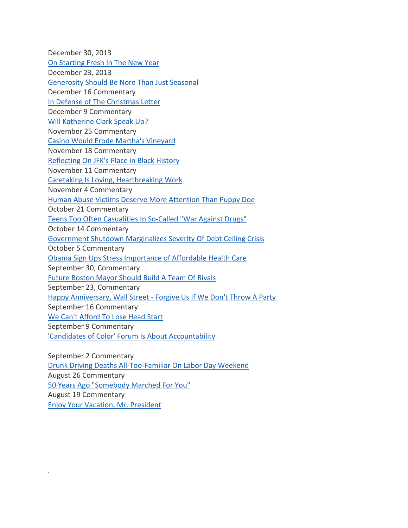December 30, 2013 On [Starting](http://wgbhnews.org/post/commentary-starting-fresh-new-year) Fresh In The New Year December 23, 2013 [Generosity](http://wgbhnews.org/post/commentary-generosity-should-be-more-just-seasonal) Should Be Nore Than Just Seasonal December 16 Commentary In Defense of The [Christmas](http://wgbhnews.org/post/commentary-defense-christmas-letter) Letter December 9 Commentary Will [Katherine](http://wgbhnews.org/post/commentary-will-katherine-clark-speak) Clark Speak Up? November 25 Commentary Casino Would Erode [Martha's](http://wgbhnews.org/post/commentary-casino-would-erode-marthas-vineyard) Vineyard November 18 Commentary [Reflecting](http://wgbhnews.org/post/commentary-reflecting-jfks-place-black-history) On JFK's Place in Black History November 11 Commentary Caretaking Is Loving, [Heartbreaking](http://wgbhnews.org/post/commentary-caretaking-loving-heartbreaking-work) Work November 4 Commentary Human Abuse Victims Deserve More [Attention](http://wgbhnews.org/post/commentary-human-abuse-victims-deserve-more-attention-puppy-doe) Than Puppy Doe October 21 Commentary Teens Too Often [Casualities](http://wgbhnews.org/post/teens-too-often-casualties-so-called-war-against-drugs) In So-Called "War Against Drugs" October 14 Commentary [Government](http://http/wgbhnews.org/term/callie-crossley-commentary) Shutdown Marginalizes Severity Of Debt Ceiling Crisis October 5 Commentary Obama Sign Ups Stress [Importance](http://http/wgbhnews.org/post/obamacare-sign-ups-stress-importance-affordable-health-care) of Affordable Health Care September 30, Commentary Future [Boston](http://wgbhnews.org/post/future-boston-mayor-should-build-team-rivals) Mayor Should Build A Team Of Rivals September 23, Commentary Happy [Anniversary,](http://wgbhnews.org/post/happy-anniversary-wall-street-forgive-us-if-we-don-t-throw-party) Wall Street - Forgive Us If We Don't Throw A Party September 16 Commentary We Can't [Afford](http://wgbhnews.org/post/we-cant-afford-lose-head-start) To Lose Head Start September 9 Commentary 'Candidates of Color' Forum Is About [Accountability](http://wgbhnews.org/post/candidates-color-forum-about-accountability) September 2 Commentary Drunk Driving Deaths [All-Too-Familiar](http://wgbhnews.org/post/drunk-driving-deaths-all-too-familiar-labor-day-weekend) On Labor Day Weekend August 26 Commentary

50 Years Ago ["Somebody](http://wgbhnews.org/post/50-years-ago-somebody-marched-you) Marched For You"

August 19 Commentary

*.*

Enjoy Your Vacation, Mr. [President](http://wgbhnews.org/post/enjoy-your-vacation-mr-president)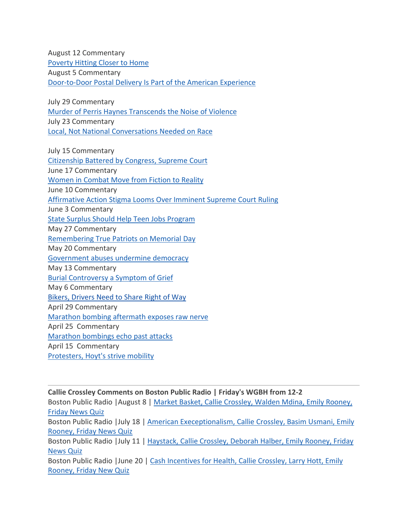August 12 Commentary [Poverty](http://wgbhnews.org/post/poverty-hitting-closer-home) Hitting Closer to Home August 5 Commentary [Door-to-Door](http://www.wgbhnews.org/post/door-door-postal-delivery-part-american-experience) Postal Delivery Is Part of the American Experience

July 29 Commentary Murder of Perris Haynes [Transcends](http://www.wgbhnews.org/post/murder-perris-haynes-transcends-noise-violence) the Noise of Violence July 23 Commentary Local, Not National [Conversations](http://www.wgbhnews.org/post/local-not-national-conversations-needed-race) Needed on Race

July 15 Commentary [Citizenship](http://www.wgbhnews.org/post/citizenship-battered-congress-supreme-court) Battered by Congress, Supreme Court June 17 Commentary [Women](http://www.wgbhnews.org/post/women-combat-move-fiction-reality) in Combat Move from Fiction to Reality June 10 Commentary [Affirmative](http://www.wgbhnews.org/post/affirmative-action-stigma-looms-over-imminent-supreme-court-ruling) Action Stigma Looms Over Imminent Supreme Court Ruling June 3 Commentary State Surplus Should Help Teen Jobs [Program](http://www.wgbhnews.org/post/state-surplus-should-help-teen-jobs-program) May 27 Commentary [Remembering](http://www.wgbhnews.org/post/remembering-true-patriots-memorial-day) True Patriots on Memorial Day May 20 Commentary [Government](http://www.wgbhnews.org/post/government-abuses-undermine-democracy) abuses undermine democracy May 13 Commentary Burial [Controversy](http://www.wgbhnews.org/post/burial-controversy-symptom-grief) a Symptom of Grief May 6 Commentary Bikers, [Drivers](http://wgbhnews.org/post/bikers-drivers-need-share-right-way) Need to Share Right of Way April 29 Commentary Marathon bombing [aftermath](http://www.wgbhnews.org/post/marathon-bombing-aftermath-exposes-raw-nerve) exposes raw nerve April 25 Commentary [Marathon](http://www.wgbhnews.org/post/marathon-bombings-echo-past-attacks) bombings echo past attacks April 15 Commentary [Protesters,](http://www.wgbhnews.org/post/protesters-hoyts-strive-mobility) Hoyt's strive mobility

**Callie Crossley Comments on Boston Public Radio | Friday's WGBH from 12-2** Boston Public Radio |August 8 | Market Basket, Callie [Crossley,](http://wgbhnews.org/post/bpr-market-basket-callie-crossley-walden-media-emily-rooney-friday-news-quiz) Walden Mdina, Emily Rooney, [Friday](http://wgbhnews.org/post/bpr-market-basket-callie-crossley-walden-media-emily-rooney-friday-news-quiz) News Quiz Boston Public Radio |July 18 | American [Execeptionalism,](http://wgbhnews.org/post/bpr-american-exceptionalism-callie-crossley-basim-usmani-emily-rooney-friday-news-quiz) Callie Crossley, Basim Usmani, Emily [Rooney,](http://wgbhnews.org/post/bpr-american-exceptionalism-callie-crossley-basim-usmani-emily-rooney-friday-news-quiz) Friday News Quiz Boston Public Radio |July 11 | [Haystack,](http://wgbhnews.org/post/bpr-haystack-callie-crossley-deborah-halber-emily-rooney-friday-news-quiz) Callie Crossley, Deborah Halber, Emily Rooney, Friday [News](http://wgbhnews.org/post/bpr-haystack-callie-crossley-deborah-halber-emily-rooney-friday-news-quiz) Quiz Boston Public Radio | June 20 | Cash [Incentives](http://wgbhnews.org/post/bpr-cash-incentives-health-callie-crossley-larry-hott-emily-rooney-friday-news-quiz) for Health, Callie Crossley, Larry Hott, Emily [Rooney,](http://wgbhnews.org/post/bpr-cash-incentives-health-callie-crossley-larry-hott-emily-rooney-friday-news-quiz) Friday New Quiz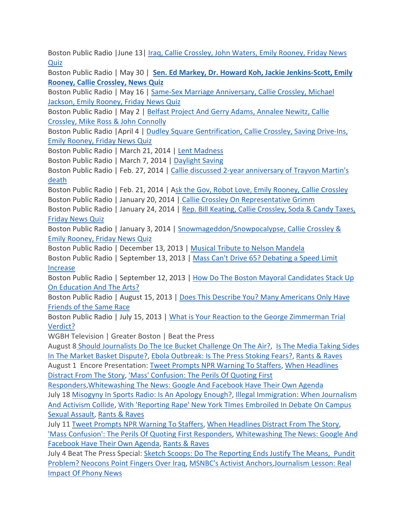Boston Public Radio |June 13| Iraq, Callie [Crossley,](http://wgbhnews.org/post/bpr-iraq-callie-crossley-john-waters-emily-rooney-friday-news-quiz) John Waters, Emily Rooney, Friday News **[Quiz](http://wgbhnews.org/post/bpr-iraq-callie-crossley-john-waters-emily-rooney-friday-news-quiz)** Boston Public Radio | May 30 | **Sen. Ed Markey, Dr. Howard Koh, Jackie Jenkins-Scott, Emily Rooney, Callie Crossley, News Quiz** Boston Public Radio | May 16 | Same-Sex Marriage [Anniversary,](http://wgbhnews.org/post/bpr-same-sex-marriage-anniversary-callie-crossley-michael-jackson-emily-rooney-friday-news-quiz) Callie Crossley, Michael [Jackson,](http://wgbhnews.org/post/bpr-same-sex-marriage-anniversary-callie-crossley-michael-jackson-emily-rooney-friday-news-quiz) Emily Rooney, Friday News Quiz Boston Public Radio | May 2 | Belfast Project And Gerry Adams, [Annalee](http://wgbhnews.org/post/bpr-belfast-project-and-gerry-adams-annalee-newitz-callie-crossley-mike-ross-and-john-connolly) Newitz, Callie [Crossley,](http://wgbhnews.org/post/bpr-belfast-project-and-gerry-adams-annalee-newitz-callie-crossley-mike-ross-and-john-connolly) Mike Ross & John Connolly Boston Public Radio | April 4 | Dudley Square [Gentrification,](http://wgbhnews.org/post/bpr-dudley-square-gentrification-callie-crossley-saving-drive-ins-emily-rooney-friday-news-quiz) Callie Crossley, Saving Drive-Ins, Emily [Rooney,](http://wgbhnews.org/post/bpr-dudley-square-gentrification-callie-crossley-saving-drive-ins-emily-rooney-friday-news-quiz) Friday News Quiz Boston Public Radio | March 21, 2014 | Lent [Madness](http://wgbhnews.org/post/bpr-richard-tisei-callie-crossley-lent-madness-emily-rooney-friday-news-quiz) Boston Public Radio | March 7, 2014 | [Daylight](http://wgbhnews.org/post/bpr-daylight-saving-callie-crossley-emily-rooney-spy-vs-spy-news-quiz) Saving Boston Public Radio | Feb. 27, 2014 | Callie discussed 2-year [anniversary](http://wgbhnews.org/post/bpr-cape-wind-callie-crossley-alex-beam-t-station-branding-kara-miller) of Trayvon Martin's [death](http://wgbhnews.org/post/bpr-cape-wind-callie-crossley-alex-beam-t-station-branding-kara-miller) Boston Public Radio | Feb. 21, 2014 | Ask the Gov, Robot Love, Emily Rooney, Callie [Crossley](http://wgbhnews.org/post/bpr-ask-gov-robot-love-emily-rooney-callie-crossley) Boston Public Radio | January 20, 2014 | Callie Crossley On [Representative](http://wgbhnews.org/post/bpr-death-penalty-debate-callie-crossley-rep-grimm-dungeons-dragons-kara-miller) Grimm Boston Public Radio | January 24, 2014 | Rep. Bill Keating, Callie [Crossley,](http://wgbhnews.org/post/bpr-rep-bill-keating-callie-crossley-soda-candy-taxes-emily-rooney-friday-news-quiz) Soda & Candy Taxes, [Friday](http://wgbhnews.org/post/bpr-rep-bill-keating-callie-crossley-soda-candy-taxes-emily-rooney-friday-news-quiz) News Quiz Boston Public Radio | January 3, 2014 | [Snowmageddon/Snowpocalypse,](http://wgbhnews.org/post/bpr-snowmageddonsnowpocalypse-callie-crossley-emily-rooney-friday-news-quiz) Callie Crossley & Emily [Rooney,](http://wgbhnews.org/post/bpr-snowmageddonsnowpocalypse-callie-crossley-emily-rooney-friday-news-quiz) Friday News Quiz Boston Public Radio | December 13, 2013 | Musical Tribute to Nelson [Mandela](http://wgbhnews.org/post/few-gun-changes-one-year-after-sandy-hook-shootings) Boston Public Radio | September 13, 2013 | Mass Can't Drive 65? [Debating](http://wgbhnews.org/post/mass-cant-drive-65-debating-speed-limit-increase) a Speed Limit [Increase](http://wgbhnews.org/post/mass-cant-drive-65-debating-speed-limit-increase) Boston Public Radio | September 12, 2013 | How Do The Boston Mayoral [Candidates](http://wgbhnews.org/post/how-do-boston-mayoral-candidates-stack-education-and-arts) Stack Up On [Education](http://wgbhnews.org/post/how-do-boston-mayoral-candidates-stack-education-and-arts) And The Arts? Boston Public Radio | August 15, 2013 | Does This Describe You? Many [Americans](http://www.wgbhnews.org/post/does-describe-you-many-americans-only-have-friends-same-race) Only Have [Friends](http://www.wgbhnews.org/post/does-describe-you-many-americans-only-have-friends-same-race) of the Same Race Boston Public Radio | July 15, 2013 | What is Your Reaction to the George [Zimmerman](http://www.wgbhnews.org/post/what-your-reaction-george-zimmerman-trial-verdict) Trial [Verdict?](http://www.wgbhnews.org/post/what-your-reaction-george-zimmerman-trial-verdict) WGBH Television | Greater Boston | Beat the Press August 8 Should [Journalists](http://wgbhnews.org/post/should-journalists-do-ice-bucket-challenge-air) Do The Ice Bucket Challenge On The Air?, Is The Media [Taking](http://wgbhnews.org/post/media-taking-sides-market-basket-dispute) Sides In The Market Basket [Dispute?,](http://wgbhnews.org/post/media-taking-sides-market-basket-dispute) Ebola [Outbreak:](http://wgbhnews.org/post/ebola-outbreak-press-stoking-fears) Is The Press Stoking Fears?, Rants & [Raves](http://wgbhnews.org/post/rants-raves-week-media-20) August 1 Encore Presentation: Tweet Prompts NPR [Warning](http://wgbhnews.org/post/tweet-prompts-npr-warning-staffers) To Staffers, When [Headlines](http://wgbhnews.org/post/when-headlines-distract-story) [Distract](http://wgbhnews.org/post/when-headlines-distract-story) From The Story, 'Mass' [Confusion:](http://wgbhnews.org/post/mass-confusion-perils-quoting-first-responders) The Perils Of Quoting First [Responders,](http://wgbhnews.org/post/mass-confusion-perils-quoting-first-responders)[Whitewashing](http://wgbhnews.org/post/whitewashing-news-google-and-facebook-have-their-own-agenda) The News: Google And Facebook Have Their Own Agenda July 18 [Misogyny](http://wgbhnews.org/post/misogyny-sports-radio-apology-enough) In Sports Radio: Is An Apology Enough?, Illegal [Immigration:](http://wgbhnews.org/post/illegal-immigration-when-journalism-and-activism-collide) When Journalism And [Activism](http://wgbhnews.org/post/illegal-immigration-when-journalism-and-activism-collide) Collide, With 'Reporting Rape' New York TImes [Embroiled](http://wgbhnews.org/post/reporting-rape-new-york-times-embroiled-debate-campus-sexual-assault) In Debate On Campus Sexual [Assault,](http://wgbhnews.org/post/reporting-rape-new-york-times-embroiled-debate-campus-sexual-assault) Rants & [Raves](http://wgbhnews.org/post/rants-raves-week-media-19) July 11 Tweet Prompts NPR [Warning](http://wgbhnews.org/post/tweet-prompts-npr-warning-staffers) To Staffers, When [Headlines](http://wgbhnews.org/post/when-headlines-distract-story) Distract From The Story, 'Mass Confusion': The Perils Of Quoting First [Responders,](http://wgbhnews.org/post/mass-confusion-perils-quoting-first-responders) [Whitewashing](http://wgbhnews.org/post/whitewashing-news-google-and-facebook-have-their-own-agenda) The News: Google And [Facebook](http://wgbhnews.org/post/whitewashing-news-google-and-facebook-have-their-own-agenda) Have Their Own Agenda, Rants & [Raves](http://wgbhnews.org/post/rants-raves-week-media-18) July 4 Beat The Press Special: Sketch Scoops: Do The [Reporting](http://wgbhnews.org/post/sketchy-scoops-do-reporting-ends-justify-means) Ends Justify The Means, [Pundit](http://wgbhnews.org/post/sketchy-scoops-do-reporting-ends-justify-means) [Problem?](http://wgbhnews.org/post/pundit-problem-neocons-point-fingers-over-iraq) Neocons Point Fingers Over Iraq, [MSNBC's](http://wgbhnews.org/post/msnbcs-activist-anchors) Activist Anchors[,Journalism](http://wgbhnews.org/post/journalism-lesson-real-impact-phony-news) Lesson: Real [Impact](http://wgbhnews.org/post/journalism-lesson-real-impact-phony-news) Of Phony News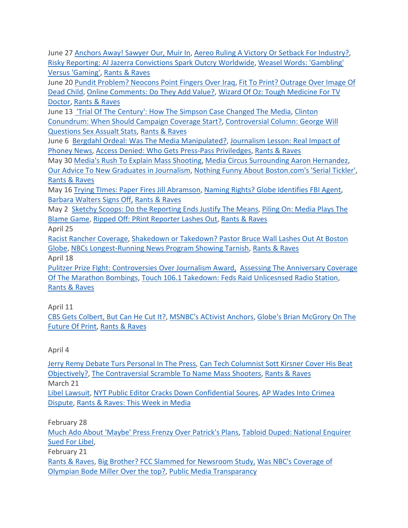June 27 [Anchors](http://wgbhnews.org/post/anchors-away-sawyer-muir-out) Away! Sawyer Our, Muir In, Aereo Ruling A Victory Or Setback For [Industry?,](http://wgbhnews.org/post/anchors-away-sawyer-muir-out) Risky Reporting: Al Jazerra [Convictions](http://wgbhnews.org/post/risky-reporting-al-jazeera-convictions-spark-outcry-worldwide) Spark Outcry Worldwide, Weasel Words: ['Gambling'](http://wgbhnews.org/post/weasel-words-gambling-versus-gaming) Versus ['Gaming',](http://wgbhnews.org/post/weasel-words-gambling-versus-gaming) Rants & [Raves](http://wgbhnews.org/post/rants-raves-week-media-17)

June 20 Pundit [Problem?](http://wgbhnews.org/post/pundit-problem-neocons-point-fingers-over-iraq) Neocons Point Fingers Over Iraq, Fit To Print? [Outrage](http://wgbhnews.org/post/fit-print-outrage-over-image-dead-child) Over Image Of Dead [Child,](http://wgbhnews.org/post/fit-print-outrage-over-image-dead-child) Online [Comments:](http://wgbhnews.org/post/online-comments-do-they-add-value) Do They Add Value?, Wizard Of Oz: Tough [Medicine](http://wgbhnews.org/post/wizard-oz-tough-medicine-tv-doctor) For TV [Doctor,](http://wgbhnews.org/post/wizard-oz-tough-medicine-tv-doctor) Rants & [Raves](http://wgbhnews.org/post/rants-raves-week-media-16)

June 13 'Trial Of The [Century':](http://wgbhnews.org/post/trial-century-how-simpson-case-changed-media) How The Simpson Case Changed The Media, [Clinton](http://wgbhnews.org/post/clinton-conundrum-when-should-campaign-coverage-start) [Conundrum:](http://wgbhnews.org/post/clinton-conundrum-when-should-campaign-coverage-start) When Should Campaign Coverage Start?, [Controversial](http://wgbhnews.org/post/controversial-column-george-will-questions-sex-assault-stats) Column: George Will [Questions](http://wgbhnews.org/post/controversial-column-george-will-questions-sex-assault-stats) Sex Assualt Stats, Rants & [Raves](http://wgbhnews.org/post/rants-raves-week-media-15)

June 6 Bergdahl Ordeal: Was The Media [Manipulated?,](http://wgbhnews.org/post/bergdahl-ordeal-was-media-manipulated) [Journalism](http://wgbhnews.org/post/journalism-lesson-real-impact-phony-news) Lesson: Real Impact of [Phoney](http://wgbhnews.org/post/journalism-lesson-real-impact-phony-news) News, Access Denied: Who Gets Press-Pass [Priviledges,](http://wgbhnews.org/post/access-denied-who-gets-press-pass-privileges) Rants & [Raves](http://wgbhnews.org/post/rants-raves-week-media-14)

May 30 Media's Rush To Explain Mass [Shooting,](http://wgbhnews.org/post/medias-rush-explain-mass-shooting) Media Circus [Surrounding](http://wgbhnews.org/post/media-circus-surrounding-aaron-hernandez) Aaron Hernandez, Our Advice To New Graduates in [Journalism,](http://wgbhnews.org/post/our-advice-new-graduates-journalism) Nothing Funny About [Boston.com's](http://wgbhnews.org/post/nothing-funny-about-bostoncoms-serial-tickler) 'Serial Tickler', Rants & [Raves](http://wgbhnews.org/post/rants-raves-week-media-13)

May 16 Trying TImes: Paper Fires Jill [Abramson,](http://wgbhnews.org/post/trying-times-paper-fires-jill-abramson) Naming Rights? Globe [Identifies](http://wgbhnews.org/post/naming-right-globe-identifies-fbi-agent) FBI Agent, [Barbara](http://wgbhnews.org/post/barbara-walters-signs) Walters Signs Off, Rants & [Raves](http://wgbhnews.org/post/rants-raves-week-media-11)

May 2 Sketchy Scoops: Do the [Reporting](http://wgbhnews.org/post/sketchy-scoops-do-reporting-ends-justify-means) Ends Justify The Means, Piling On: [Media](http://wgbhnews.org/post/piling-media-plays-blame-game) Plays The Blame [Game,](http://wgbhnews.org/post/piling-media-plays-blame-game) Ripped Off: PRint [Reporter](http://wgbhnews.org/post/ripped-print-reporter-lashes-out) Lashes Out, Rants & [Raves](http://wgbhnews.org/post/rants-raves-week-media-9)

April 25

Racist Rancher [Coverage,](http://wgbhnews.org/post/racist-rancher-coverage) [Shakedown](http://wgbhnews.org/post/shakedown-or-takedown-pastor-bruce-wall-lashes-out-boston-globe) or Takedown? Pastor Bruce Wall Lashes Out At Boston [Globe,](http://wgbhnews.org/post/shakedown-or-takedown-pastor-bruce-wall-lashes-out-boston-globe) NBCs [Longest-Running](http://wgbhnews.org/post/nbcs-longest-running-news-program-showing-tarnish) News Program Showing Tarnish, Rants & [Raves](http://wgbhnews.org/post/rants-raves-week-media-8)

April 18

Pulitzer Prize FIght: [Controversies](http://wgbhnews.org/post/pulitzer-prize-fight-controversies-over-journalism-award) Over Journalism Award, Assessing The [Anniversary](http://wgbhnews.org/post/assessing-anniversary-coverage-marathon-bombings) Coverage Of The Marathon [Bombings,](http://wgbhnews.org/post/assessing-anniversary-coverage-marathon-bombings) Touch 106.1 Takedown: Feds Raid [Unlicesnsed](http://wgbhnews.org/post/touch-1061-takedown-feds-raid-unlicensed-radio-station) Radio Station, Rants & [Raves](http://wgbhnews.org/post/rants-raves-week-media-7)

April 11

CBS Gets [Colbert,](http://wgbhnews.org/post/cbs-gets-colbert-can-he-cut-it) But Can He Cut It?, [MSNBC's](http://wgbhnews.org/post/msnbcs-activist-anchors) ACtivist Anchors, Globe's Brian McGrory On The Future Of Print, Rants & [Raves](http://wgbhnews.org/post/rants-raves-week-media-6)

April 4

Jerry Remy Debate Turs [Personal](http://wgbhnews.org/post/jerry-remy-debate-turns-personal-press) In The Press, Can Tech [Columnist](http://wgbhnews.org/post/can-tech-columnist-scott-kirsner-cover-his-beat-objectively) Sott Kirsner Cover His Beat [Objectively?,](http://wgbhnews.org/post/can-tech-columnist-scott-kirsner-cover-his-beat-objectively) The [Contraversial](http://wgbhnews.org/post/controversial-scramble-name-mass-shooters) Scramble To Name Mass Shooters, Rants & [Raves](http://wgbhnews.org/post/rants-raves-week-media-5) March 21 Libel [Lawsuit,](http://wgbhnews.org/post/heralds-tabloid-dream-turns-nightmarish-after-libel-suit) NYT Public Editor Cracks Down [Confidential](http://wgbhnews.org/post/anonywatch-new-york-times-public-editor-cracks-down-confidential-sources) Soures, AP Wades Into [Crimea](http://wgbhnews.org/post/ap-wades-crimea-dispute)

[Dispute,](http://wgbhnews.org/post/ap-wades-crimea-dispute) Rants & [Raves:](http://wgbhnews.org/post/rants-raves-week-media-3) This Week in Media

February 28

Much Ado About 'Maybe' Press Frenzy Over [Patrick's](http://http/wgbhnews.org/post/much-ado-about-maybe-press-frenzy-over-patricks-plans) Plans, Tabloid Duped: National [Enquirer](http://wgbhnews.org/post/tabloid-duped-national-enquirer-sued-libel) Sued For [Libel,](http://wgbhnews.org/post/tabloid-duped-national-enquirer-sued-libel)

February 21

Rants & [Raves,](http://wgbhnews.org/post/rants-raves-week-media) Big Brother? FCC Slammed for [Newsroom](http://wgbhnews.org/post/outrage-over-bode-miller-interview) Study, Was NBC's [Coverage](http://wgbhnews.org/post/outrage-over-bode-miller-interview) of [Olympian](http://wgbhnews.org/post/outrage-over-bode-miller-interview) Bode Miller Over the top?, Public Media [Transparancy](http://wgbhnews.org/post/funding-furor-critic-funds-pbs-pension-coverage)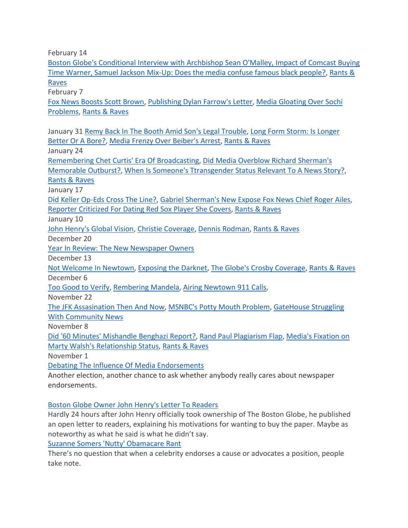February 14

Boston Globe's [Conditional](http://wgbhnews.org/post/samuel-jackson-mix) Interview with Archbishop Sean O'Malley, Impact of Comcast Buying Time Warner, Samuel Jackson Mix-Up: Does the media confuse famous black [people?,](http://wgbhnews.org/post/samuel-jackson-mix) [Rants](http://wgbhnews.org/post/rants-raves-4) & [Raves](http://wgbhnews.org/post/rants-raves-4)

February 7

Fox News Boosts Scott [Brown,](http://wgbhnews.org/post/fox-news-boosting-scott-brown) [Publishing](http://wgbhnews.org/post/allen-allegations-publishing-dylan-farrows-letter) Dylan Farrow's Letter, Media [Gloating](http://wgbhnews.org/post/no-love-russia-media-gloating-over-sochi-problems) Over Sochi [Problems,](http://wgbhnews.org/post/no-love-russia-media-gloating-over-sochi-problems) Rants & [Raves](http://wgbhnews.org/post/rants-raves)

January 31 Remy Back In The Booth Amid Son's Legal [Trouble,](http://wgbhnews.org/post/jerry-remy-return-amid-sons-legal-trouble) Long Form Storm: Is [Longer](http://wgbhnews.org/post/long-form-storm-longer-better-or-bore) Better Or A [Bore?,](http://wgbhnews.org/post/long-form-storm-longer-better-or-bore) Media Frenzy Over [Beiber's](http://wgbhnews.org/post/bieber-fever-media-frenzy-over-pop-stars-arrest) Arrest, Rants & [Raves](http://wgbhnews.org/post/rants-and-raves-2)

January 24

[Remembering](http://wgbhnews.org/post/remembering-chet-curtis-and-era-newscasts-he-helped-define) Chet Curtis' Era Of Broadcasting, Did Media Overblow Richard [Sherman's](http://wgbhnews.org/post/did-media-overblow-richard-shermans-memorable-outburst) [Memorable](http://wgbhnews.org/post/did-media-overblow-richard-shermans-memorable-outburst) Outburst?, When Is Someone's [Ttransgender](http://wgbhnews.org/post/when-someones-transgender-status-relevant-news-story) Status Relevant To A News Story?,

Rants & [Raves](http://wgbhnews.org/post/beat-press-rants-and-raves)

January 17

Did Keller [Op-Eds](http://wgbhnews.org/post/did-keller-op-eds-cross-line) Cross The Line?, Gabriel [Sherman's](http://wgbhnews.org/post/gabriel-shermans-new-expose-fox-news-chief-roger-ailes) New Expose Fox News Chief Roger Ailes, Reporter [Criticized](http://wgbhnews.org/post/reporter-criticized-dating-red-sox-player-she-covers) For Dating Red Sox Player She Covers, Rants & [Raves](http://wgbhnews.org/post/rants-and-raves-0)

January 10

John [Henry's](http://wgbhnews.org/post/beat-press-video-john-henrys-global-vision) Global Vision, Christie [Coverage,](http://wgbhnews.org/post/beat-press-video-christie-coverage) Dennis [Rodman,](http://wgbhnews.org/post/does-dennis-rodman-deserve-platform) Rants & [Raves](http://wgbhnews.org/post/rants-and-raves)

December 20

Year In Review: The New [Newspaper](http://wgbhnews.org/post/beat-press-year-review-new-newspaper-owners) Owners

December 13

Not Welcome In [Newtown,](http://wgbhnews.org/post/beat-press-video-not-welcome-newtown) [Exposing](http://wgbhnews.org/post/beat-press-video-exposing-darknet) the Darknet, The Globe's Crosby [Coverage,](http://wgbhnews.org/post/beat-press-video-globes-crosby-coverage) Rants & [Raves](http://wgbhnews.org/post/beat-press-video-rants-and-raves-28) December 6

Too Good to [Verify,](http://wgbhnews.org/post/beat-press-video-too-good-verify) [Rembering](http://wgbhnews.org/post/beat-press-video-remembering-mandela) Mandela, Airing [Newtown](http://wgbhnews.org/post/beat-press-video-airing-newtown-911-calls) 911 Calls,

November 22

The JFK [Assasination](http://wgbhnews.org/post/beat-press-video-jfk-assassination-then-and-now) Then And Now, [MSNBC's](http://wgbhnews.org/post/beat-press-video-msnbcs-potty-mouth-problem) Potty Mouth Problem, [GateHouse](http://wgbhnews.org/post/beat-press-video-gatehouse-struggling-community-news) Struggling

With [Community](http://wgbhnews.org/post/beat-press-video-gatehouse-struggling-community-news) News

November 8

Did '60 Minutes' [Mishandle](http://wgbhnews.org/post/beat-press-video-did-60-minutes-mishandle-benghazi-report) Benghazi Report?, Rand Paul [Plagiarism](http://wgbhnews.org/post/beat-press-video-rand-paul-plagiarism-flap) Flap, Media's [Fixation](http://wgbhnews.org/post/beat-press-video-medias-fixation-marty-walshs-relationship-status) on Marty Walsh's [Relationship](http://wgbhnews.org/post/beat-press-video-medias-fixation-marty-walshs-relationship-status) Status, Rants & [Raves](http://wgbhnews.org/post/beat-press-video-rants-and-raves-25)

November 1

Debating The Influence Of Media [Endorsements](http://wgbhnews.org/post/beat-press-video-debating-influence-media-endorsements)

Another election, another chance to ask whether anybody really cares about newspaper endorsements.

Boston Globe Owner John Henry's Letter To [Readers](http://wgbhnews.org/post/beat-press-video-boston-globe-owner-john-henrys-letter-readers)

Hardly 24 hours after John Henry officially took ownership of The Boston Globe, he published an open letter to readers, explaining his motivations for wanting to buy the paper. Maybe as noteworthy as what he said is what he didn't say.

Suzanne Somers 'Nutty' [Obamacare](http://wgbhnews.org/post/beat-press-video-suzanne-somers-nutty-obamacare-rant) Rant

There's no question that when a celebrity endorses a cause or advocates a position, people take note.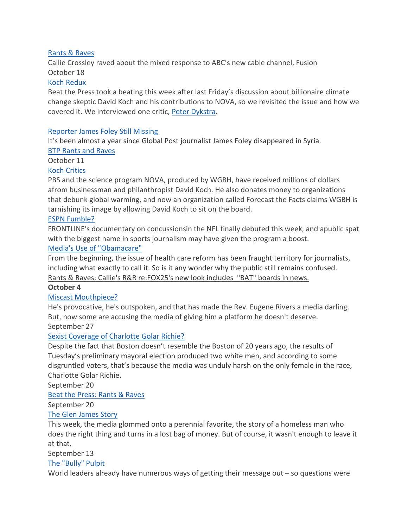### Rants & [Raves](http://wgbhnews.org/post/beat-press-video-rants-and-raves-24)

Callie Crossley raved about the mixed response to ABC's new cable channel, Fusion October 18

### Koch [Redux](http://wgbhnews.org/programs/beat-press)

Beat the Press took a beating this week after last Friday's discussion about billionaire climate change skeptic David Koch and his contributions to NOVA, so we revisited the issue and how we covered it. We interviewed one critic, Peter [Dykstra.](http://www.environmentalhealthnews.org/ehs/Members/pdykstra/peter-dykstra)

### [Reporter](http://wgbhnews.org/post/beat-press-video-reporter-james-foley-still-missing) James Foley Still Missing

It's been almost a year since Global Post journalist James Foley disappeared in Syria.

# BTP Rants and [Raves](http://wgbhnews.org/post/beat-press-video-rants-and-raves-22)

October 11

### Koch [Critics](http://wgbhnews.org/post/beat-press-video-koch-critics)

PBS and the science program NOVA, produced by WGBH, have received millions of dollars afrom businessman and philanthropist David Koch. He also donates money to organizations that debunk global warming, and now an organization called Forecast the Facts claims WGBH is tarnishing its image by allowing David Koch to sit on the board.

### ESPN [Fumble?](http://wgbhnews.org/post/beat-press-video-espn-fumble)

FRONTLINE's documentary on concussionsin the NFL finally debuted this week, and apublic spat with the biggest name in sports journalism may have given the program a boost.

### Media's Use of ["Obamacare"](http://wgbhnews.org/post/beat-press-video-medias-use-obamacare)

From the beginning, the issue of health care reform has been fraught territory for journalists, including what exactly to call it. So is it any wonder why the public still remains confused. Rants & Raves: Callie's R&R re:FOX25's new look [includes "BAT"](http://wgbhnews.org/post/beat-press-video-rants-and-raves-21) boards in news.

#### **October 4**

## Miscast [Mouthpiece?](http://wgbhnews.org/post/beat-press-video-miscast-mouthpiece)

He's provocative, he's outspoken, and that has made the Rev. Eugene Rivers a media darling. But, now some are accusing the media of giving him a platform he doesn't deserve. September 27

#### Sexist [Coverage](http://wgbhnews.org/post/beat-press-video-sexist-coverage-charlotte-golar-richie) of Charlotte Golar Richie?

Despite the fact that Boston doesn't resemble the Boston of 20 years ago, the results of Tuesday's preliminary mayoral election produced two white men, and according to some disgruntled voters, that's because the media was unduly harsh on the only female in the race, Charlotte Golar Richie.

September 20

## Beat the [Press:](http://wgbhnews.org/post/beat-press-video-rants-and-raves-18) Rants & Raves

September 20

## The Glen [James](http://wgbhnews.org/post/beat-press-video-glen-james-story) Story

This week, the media glommed onto a perennial favorite, the story of a homeless man who does the right thing and turns in a lost bag of money. But of course, it wasn't enough to leave it at that.

September 13

#### The ["Bully"](http://wgbhnews.org/post/beat-press-video-bully-pulpit) Pulpit

World leaders already have numerous ways of getting their message out – so questions were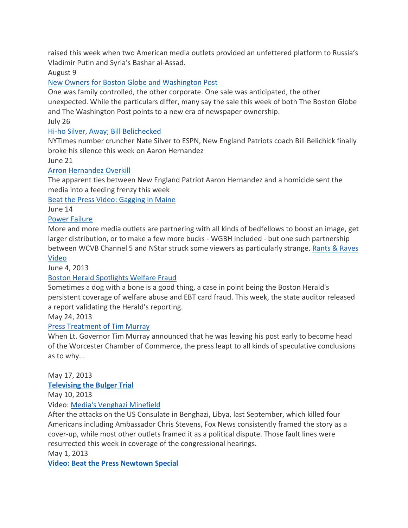raised this week when two American media outlets provided an unfettered platform to Russia's Vladimir Putin and Syria's Bashar al-Assad.

August 9

New Owners for Boston Globe and [Washington](http://www.wgbhnews.org/post/beat-press-video-new-owners-globe-and-wapo) Post

One was family controlled, the other corporate. One sale was anticipated, the other unexpected. While the particulars differ, many say the sale this week of both The Boston Globe and The Washington Post points to a new era of newspaper ownership.

July 26

## Hi-ho Silver, Away; Bill [Belichecked](http://www.wgbhnews.org/post/beat-press-video-bill-belichecked)

NYTimes number cruncher Nate Silver to ESPN, New England Patriots coach Bill Belichick finally broke his silence this week on Aaron Hernandez

June 21

# Arron [Hernandez](http://www.wgbhnews.org/post/beat-press-video-aaron-hernandez-overkill) Overkill

The apparent ties between New England Patriot Aaron Hernandez and a homicide sent the media into a feeding frenzy this week

Beat the Press Video: [Gagging](http://www.wgbhnews.org/post/beat-press-video-gagging-maine) in Maine

June 14

# Power [Failure](http://www.wgbhnews.org/post/beat-press-video-power-failure)

More and more media outlets are partnering with all kinds of bedfellows to boost an image, get larger distribution, or to make a few more bucks - WGBH included - but one such partnership between WCVB Channel 5 and NStar struck some viewers as particularly strange. Rants & [Raves](http://www.wgbhnews.org/post/beat-press-video-rants-and-raves-8) [Video](http://www.wgbhnews.org/post/beat-press-video-rants-and-raves-8)

June 4, 2013

# Boston Herald [Spotlights](http://www.wgbhnews.org/post/beat-press-video-boston-herald-spotlights-welfare-fraud) Welfare Fraud

Sometimes a dog with a bone is a good thing, a case in point being the Boston Herald's persistent coverage of welfare abuse and EBT card fraud. This week, the state auditor released a report validating the Herald's reporting.

May 24, 2013

## Press [Treatment](http://www.wgbhnews.org/post/beat-press-video-press-treatment-tim-murray) of Tim Murray

When Lt. Governor Tim Murray announced that he was leaving his post early to become head of the Worcester Chamber of Commerce, the press leapt to all kinds of speculative conclusions as to why...

May 17, 2013

**[Televising](http://www.wgbhnews.org/post/beat-press-video-televising-bulger-trial) the Bulger Trial**

May 10, 2013

Video: Media's Venghazi [Minefield](http://www.youtube.com/watch?feature=player_embedded&v=L6xhW-3UkDg)

After the attacks on the US Consulate in Benghazi, Libya, last September, which killed four Americans including Ambassador Chris Stevens, Fox News consistently framed the story as a cover-up, while most other outlets framed it as a political dispute. Those fault lines were resurrected this week in coverage of the congressional hearings.

May 1, 2013

**Video: Beat the Press [Newtown](http://www.wgbhnews.org/post/beat-press-video-newtown-special) Special**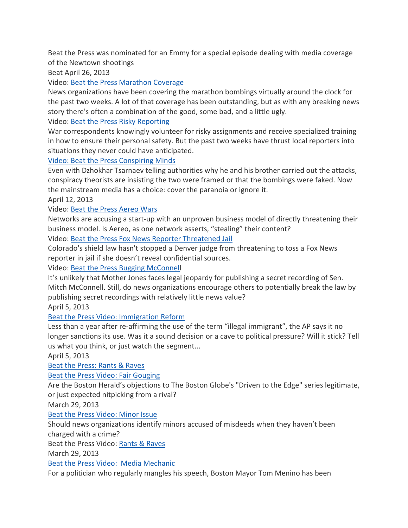Beat the Press was nominated for an Emmy for a special episode dealing with media coverage of the Newtown shootings

Beat April 26, 2013

Video: Beat the Press [Marathon](http://www.wgbhnews.org/post/beat-press-video-marathon-coverage) Coverage

News organizations have been covering the marathon bombings virtually around the clock for the past two weeks. A lot of that coverage has been outstanding, but as with any breaking news story there's often a combination of the good, some bad, and a little ugly.

# Video: Beat the Press Risky [Reporting](http://www.wgbhnews.org/post/beat-press-video-risky-reporting)

War correspondents knowingly volunteer for risky assignments and receive specialized training in how to ensure their personal safety. But the past two weeks have thrust local reporters into situations they never could have anticipated.

# Video: Beat the Press [Conspiring](http://www.wgbhnews.org/post/beat-press-video-conspiring-minds) Minds

Even with Dzhokhar Tsarnaev telling authorities why he and his brother carried out the attacks, conspiracy theorists are insisting the two were framed or that the bombings were faked. Now the mainstream media has a choice: cover the paranoia or ignore it.

April 12, 2013

Video: Beat the Press [Aereo](http://www.wgbhnews.org/post/beat-press-video-aereo-wars) Wars

Networks are accusing a start-up with an unproven business model of directly threatening their business model. Is Aereo, as one network asserts, "stealing" their content?

Video: Beat the Press Fox News Reporter [Threatened](http://www.wgbhnews.org/post/beat-press-video-fox-news-reporter-threatened-jail) Jail

Colorado's shield law hasn't stopped a Denver judge from threatening to toss a Fox News reporter in jail if she doesn't reveal confidential sources.

Video: Beat the Press Bugging [McConnell](http://www.wgbhnews.org/post/beat-press-video-bugging-mcconnell)

It's unlikely that Mother Jones faces legal jeopardy for publishing a secret recording of Sen. Mitch McConnell. Still, do news organizations encourage others to potentially break the law by publishing secret recordings with relatively little news value? April 5, 2013

# Beat the Press Video: [Immigration](http://www.wgbhnews.org/post/beat-press-video-immigration-reform) Reform

Less than a year after re-affirming the use of the term "illegal immigrant", the AP says it no longer sanctions its use. Was it a sound decision or a cave to political pressure? Will it stick? Tell us what you think, or just watch the segment...

April 5, 2013

Beat the [Press:](http://www.wgbhnews.org/post/beat-press-video-rants-and-raves-2) Rants & Raves

Beat the Press Video: Fair [Gouging](http://www.wgbhnews.org/post/beat-press-video-fair-gouging)

Are the Boston Herald's objections to The Boston Globe's "Driven to the Edge" series legitimate, or just expected nitpicking from a rival?

March 29, 2013

Beat the Press [Video:](http://www.wgbhnews.org/post/beat-press-video-minor-issue) Minor Issue

Should news organizations identify minors accused of misdeeds when they haven't been charged with a crime?

Beat the Press Video: Rants & [Raves](http://www.wgbhnews.org/post/beat-press-video-rants-and-raves-1)

March 29, 2013

Beat the Press [Video: Media](http://www.wgbhnews.org/post/beat-press-video-media-mechanic) Mechanic

For a politician who regularly mangles his speech, Boston Mayor Tom Menino has been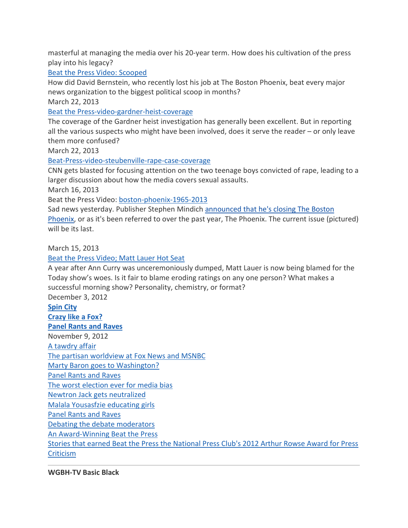masterful at managing the media over his 20-year term. How does his cultivation of the press play into his legacy?

Beat the Press Video: [Scooped](http://www.wgbhnews.org/post/beat-press-video-scooped)

How did David Bernstein, who recently lost his job at The Boston Phoenix, beat every major news organization to the biggest political scoop in months?

March 22, 2013

Beat the [Press-video-gardner-heist-coverage](http://www.wgbhnews.org/post/beat-press-video-gardner-heist-coverage)

The coverage of the Gardner heist investigation has generally been excellent. But in reporting all the various suspects who might have been involved, does it serve the reader – or only leave them more confused?

March 22, 2013

[Beat-Press-video-steubenville-rape-case-coverage](http://www.wgbhnews.org/post/beat-press-video-steubenville-rape-case-coverage)

CNN gets blasted for focusing attention on the two teenage boys convicted of rape, leading to a larger discussion about how the media covers sexual assaults.

March 16, 2013

Beat the Press Video: [boston-phoenix-1965-2013](http://www.wgbhnews.org/post/beat-press-video-boston-phoenix-1965-2013)

Sad news yesterday. Publisher Stephen Mindich [announced](http://blog.thephoenix.com/BLOGS/phlog/archive/2013/03/14/the-end-boston-phoenix-publishes-final-issue-today-statement-from-publisher-stephen-m-mindich.aspx) that he's closing The Boston [Phoenix,](http://blog.thephoenix.com/BLOGS/phlog/archive/2013/03/14/the-end-boston-phoenix-publishes-final-issue-today-statement-from-publisher-stephen-m-mindich.aspx) or as it's been referred to over the past year, The Phoenix. The current issue (pictured) will be its last.

March 15, 2013

Beat the Press [Video;](http://www.wgbhnews.org/post/beat-press-video-matt-lauer-hot-seat) Matt Lauer Hot Seat

A year after Ann Curry was unceremoniously dumped, Matt Lauer is now being blamed for the Today show's woes. Is it fair to blame eroding ratings on any one person? What makes a successful morning show? Personality, chemistry, or format? December 3, 2012

```
Spin City
Crazy like a Fox?
Panel Rants and Raves
November 9, 2012
A tawdry affair
The partisan worldview at Fox News and MSNBC
Marty Baron goes to Washington?
Panel Rants and Raves
The worst election ever for media bias
Newtron Jack gets neutralized
Malala Yousasfzie educating girls
Panel Rants and Raves
Debating the debate moderators
An Award-Winning Beat the Press
Stories that earned Beat the Press the National Press Club's 2012 Arthur Rowse Award for Press
Criticism
```
**WGBH-TV Basic Black**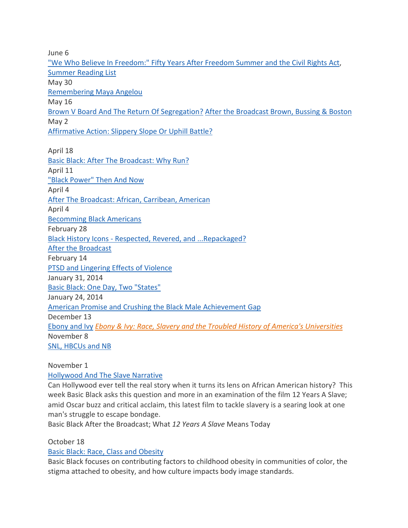June 6

"We Who Believe In [Freedom:"](http://www.wgbh.org/basicBlack/episodeDetail.cfm?programid=20&featureid=52808) Fifty Years After Freedom Summer and the Civil Rights Act, [Summer](http://www.wgbh.org/basicBlack/episodeDetail.cfm?featureid=52621&rssid=1) Reading List May 30 [Remembering](http://www.wgbh.org/basicBlack/episodeDetail.cfm?featureid=52620&rssid=1) Maya Angelou May 16 Brown V Board And The Return Of [Segregation?](http://www.wgbh.org/basicBlack/episodeDetail.cfm?featureid=52316&rssid=1) After the [Broadcast](http://www.wgbh.org/basicBlack/episodeDetail.cfm?featureid=52317&rssid=1) Brown, Bussing & Boston May 2 [Affirmative](http://www.wgbh.org/basicBlack/episodeDetail.cfm?featureid=51934&rssid=1) Action: Slippery Slope Or Uphill Battle? April 18 Basic Black: After The [Broadcast:](http://www.wgbh.org/basicBlack/episodeDetail.cfm?featureid=51588&rssid=1&subonstate=studioB) Why Run? April 11 "Black [Power"](http://www.wgbh.org/basicBlack/episodeDetail.cfm?featureid=51391&rssid=5&subonstate=studioB) Then And Now

April 4

After The [Broadcast:](http://www.wgbh.org/basicBlack/episodeDetail.cfm?featureid=51170&rssid=1&subonstate=studioB) African, Carribean, American

April 4

[Becomming](http://www.wgbh.org/basicBlack/episodeDetail.cfm?programid=20&featureid=51169) Black Americans

February 28

Black History Icons - Respected, Revered, and [...Repackaged?](http://www.wgbh.org/basicblack/episodeDetail.cfm?featureid=50621&rssid=1)

After the [Broadcast](http://www.wgbh.org/basicblack/episodeDetail.cfm?featureid=50622&rssid=1)

February 14

PTSD and [Lingering](http://www.wgbh.org/basicblack/episodeDetail.cfm?featureid=50404&rssid=1) Effects of Violence

January 31, 2014 Basic Black: One Day, Two ["States"](http://www.wgbh.org/basicblack/episodeDetail.cfm?programid=20&featureid=50212)

January 24, 2014

American Promise and Crushing the Black Male [Achievement](http://www.wgbh.org/basicblack/episodeDetail.cfm?featureid=50044&rssid=1) Gap

December 13

[Ebony](http://www.wgbh.org/basicblack/episodeDetail.cfm?programid=20&featureid=48997) and Ivy *Ebony & Ivy: Race, Slavery and the Troubled History of America's [Universities](http://www.bloomsbury.com/us/ebony-and-ivy-9781608193837/)* November 8

SNL, [HBCUs](http://www.wgbh.org/basicblack/?__utma=31088057.2102453401.1354837002.1383949207.1384464514.69&__utmb=31088057.77.7.1384465897492&__utmc=31088057&__utmx=-&__utmz=31088057.1381591560.64.8.utmcsr=google|utmccn=(organic)|utmcmd=organic|utmctr=(not%20provided)&__utmv=-&__utmk=131605453) and NB

November 1

[Hollywood](http://www.wgbh.org/basicblack/episodeDetail.cfm?programid=20&featureid=47962) And The Slave Narrative

Can Hollywood ever tell the real story when it turns its lens on African American history? This week Basic Black asks this question and more in an examination of the film 12 Years A Slave; amid Oscar buzz and critical acclaim, this latest film to tackle slavery is a searing look at one man's struggle to escape bondage.

Basic Black After the Broadcast; What *12 Years A Slave* Means Today

## October 18

Basic Black: Race, Class and [Obesity](http://www.wgbh.org/basicblack/episodeDetail.cfm?programid=20&featureid=47643)

Basic Black focuses on contributing factors to childhood obesity in communities of color, the stigma attached to obesity, and how culture impacts body image standards.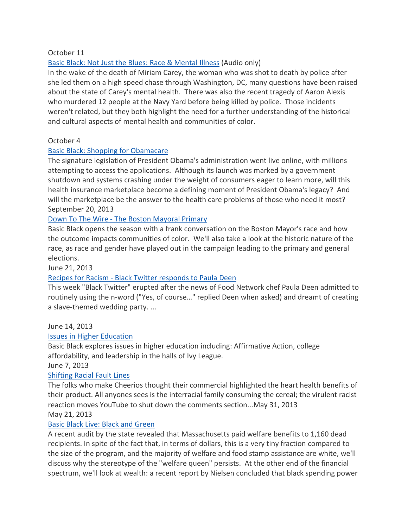### October 11

## Basic Black: Not Just the Blues: Race & [Mental](http://www.wgbh.org/basicblack/episodeDetail.cfm?programid=20&featureid=47531) Illness (Audio only)

In the wake of the death of Miriam Carey, the woman who was shot to death by police after she led them on a high speed chase through Washington, DC, many questions have been raised about the state of Carey's mental health. There was also the recent tragedy of Aaron Alexis who murdered 12 people at the Navy Yard before being killed by police. Those incidents weren't related, but they both highlight the need for a further understanding of the historical and cultural aspects of mental health and communities of color.

## October 4

## Basic Black: Shopping for [Obamacare](http://www.wgbh.org/basicblack/episodeDetail.cfm?programid=20&featureid=47381)

The signature legislation of President Obama's administration went live online, with millions attempting to access the applications. Although its launch was marked by a government shutdown and systems crashing under the weight of consumers eager to learn more, will this health insurance marketplace become a defining moment of President Obama's legacy? And will the marketplace be the answer to the health care problems of those who need it most? September 20, 2013

### Down To The Wire - The Boston [Mayoral](http://www.wgbh.org/programs/Basic-Black-20/episodes/Basic-Black-Down-To-The-Wire---The-Boston-Mayoral-Primary-47114) Primary

Basic Black opens the season with a frank conversation on the Boston Mayor's race and how the outcome impacts communities of color. We'll also take a look at the historic nature of the race, as race and gender have played out in the campaign leading to the primary and general elections.

June 21, 2013

## Recipes for Racism - Black Twitter [responds](http://www.wgbh.org/basicblack/episodeDetail.cfm?programid=20&featureid=41834) to Paula Deen

This week "Black Twitter" erupted after the news of Food Network chef Paula Deen admitted to routinely using the n-word ("Yes, of course…" replied Deen when asked) and dreamt of creating a slave-themed wedding party. ...

#### June 14, 2013

#### Issues in Higher [Education](http://www.wgbh.org/programs/Basic-Black-20/episodes/Basic-Black-Live-Higher-Ed-and-Higher-Aspirations-46001)

Basic Black explores issues in higher education including: Affirmative Action, college affordability, and leadership in the halls of Ivy League.

June 7, 2013

## [Shifting](http://www.wgbh.org/programs/Basic-Black-20/episodes/Basic-Black-Live-Shifting-Racial-Fault-Lines-45940) Racial Fault Lines

The folks who make Cheerios thought their commercial highlighted the heart health benefits of their product. All anyones sees is the interracial family consuming the cereal; the virulent racist reaction moves YouTube to shut down the comments section...May 31, 2013 May 21, 2013

#### Basic Black Live: Black and [Green](http://www.wgbh.org/basicblack/episodeDetail.cfm?programid=20&featureid=45861)

A recent audit by the state revealed that Massachusetts paid welfare benefits to 1,160 dead recipients. In spite of the fact that, in terms of dollars, this is a very tiny fraction compared to the size of the program, and the majority of welfare and food stamp assistance are white, we'll discuss why the stereotype of the "welfare queen" persists. At the other end of the financial spectrum, we'll look at wealth: a recent report by Nielsen concluded that black spending power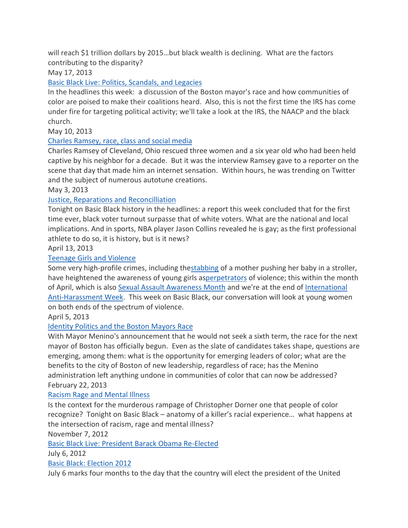will reach \$1 trillion dollars by 2015...but black wealth is declining. What are the factors contributing to the disparity?

May 17, 2013

Basic Black Live: Politics, [Scandals,](http://www.wgbh.org/basicblack/episodeDetail.cfm?programid=20&featureid=45694) and Legacies

In the headlines this week: a discussion of the Boston mayor's race and how communities of color are poised to make their coalitions heard. Also, this is not the first time the IRS has come under fire for targeting political activity; we'll take a look at the IRS, the NAACP and the black church.

May 10, 2013

# Charles [Ramsey,](http://www.wgbh.org/basicblack/episodeDetail.cfm?featureid=41834&rssid=1) race, class and social media

Charles Ramsey of Cleveland, Ohio rescued three women and a six year old who had been held captive by his neighbor for a decade. But it was the interview Ramsey gave to a reporter on the scene that day that made him an internet sensation. Within hours, he was trending on Twitter and the subject of numerous autotune creations.

May 3, 2013

# Justice, Reparations and [Reconcilliation](http://www.wgbh.org/programs/Basic-Black-20/episodes/Basic-Black-Justice-Reparations-and-Reconciliation-44082)

Tonight on Basic Black history in the headlines: a report this week concluded that for the first time ever, black voter turnout surpasse that of white voters. What are the national and local implications. And in sports, NBA player Jason Collins revealed he is gay; as the first professional athlete to do so, it is history, but is it news?

April 13, 2013

# Teenage Girls and [Violence](http://www.wgbh.org/programs/Basic-Black-20/episodes/Basic-Black-Live-Teenage-girls-and-violence-45132)

Some very high-profile crimes, including th[estabbing](http://www.necn.com/04/02/13/Teen-charged-in-Boston-stroller-stabbing/landing_newengland.html?blockID=836573&tagID=67649) of a mother pushing her baby in a stroller, have heightened the awareness of young girls a[sperpetrators](http://www.boston.com/news/local/massachusetts/2013/04/07/new-girls-campaign-boston-city-officials-will-tackle-violence/t8JB7ld5710g6QoeKXPyvJ/story.html?comments=all) of violence; this within the month of April, which is also Sexual Assault [Awareness](http://www.nsvrc.org/saam/sexual-assault-awareness-month-home) Month and we're at the end of [International](http://www.stopstreetharassment.org/ending/meetusonthestreet/) [Anti-Harassment](http://www.stopstreetharassment.org/ending/meetusonthestreet/) Week. This week on Basic Black, our conversation will look at young women on both ends of the spectrum of violence.

April 5, 2013

# [Identity](http://www.wgbh.org/programs/Basic-Black-20/episodes/Basic-Black-Live-Identity-Politics-and-the-Boston-Mayors-Race-45025) Politics and the Boston Mayors Race

With Mayor Menino's announcement that he would not seek a sixth term, the race for the next mayor of Boston has officially begun. Even as the slate of candidates takes shape, questions are emerging, among them: what is the opportunity for emerging leaders of color; what are the benefits to the city of Boston of new leadership, regardless of race; has the Menino administration left anything undone in communities of color that can now be addressed? February 22, 2013

## Racism Rage and [Mental](http://www.wgbh.org/programs/Basic-Black-20/episodes/Basic-Black-Live-Racism-Rage-and-Mental-Illness-44344) Illness

Is the context for the murderous rampage of Christopher Dorner one that people of color recognize? Tonight on Basic Black – anatomy of a killer's racial experience… what happens at the intersection of racism, rage and mental illness?

November 7, 2012

Basic Black Live: President Barack Obama [Re-Elected](http://www.wgbh.org/basicblack/episodeDetail.cfm?programid=20&featureid=42393)

July 6, 2012

Basic Black: [Election](http://www.wgbh.org/basicblack/episodeDetail.cfm?featureid=38569&rssid=1) 2012

July 6 marks four months to the day that the country will elect the president of the United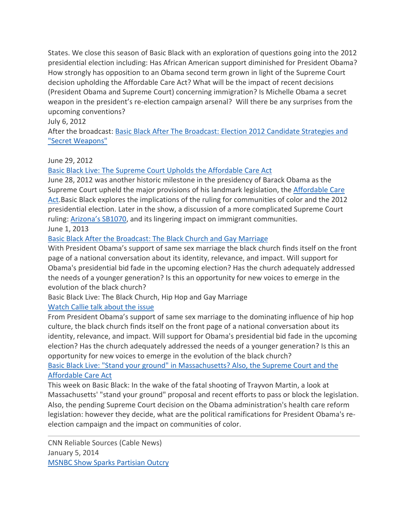States. We close this season of Basic Black with an exploration of questions going into the 2012 presidential election including: Has African American support diminished for President Obama? How strongly has opposition to an Obama second term grown in light of the Supreme Court decision upholding the Affordable Care Act? What will be the impact of recent decisions (President Obama and Supreme Court) concerning immigration? Is Michelle Obama a secret weapon in the president's re-election campaign arsenal? Will there be any surprises from the upcoming conventions?

## July 6, 2012

After the broadcast: Basic Black After The [Broadcast:](http://www.wgbh.org/basicblack/episodeDetail.cfm?featureid=40070&rssid=1) Election 2012 Candidate Strategies and "Secret [Weapons"](http://www.wgbh.org/basicblack/episodeDetail.cfm?featureid=40070&rssid=1)

# June 29, 2012

Basic Black Live: The Supreme Court Upholds the [Affordable](http://www.wgbh.org/basicblack/episodeDetail.cfm?featureid=39926&rssid=1) Care Act

June 28, 2012 was another historic milestone in the presidency of Barack Obama as the Supreme Court upheld the major provisions of his landmark legislation, the [Affordable](http://www.healthcare.gov/law/index.html) Care [Act.](http://www.healthcare.gov/law/index.html)Basic Black explores the implications of the ruling for communities of color and the 2012 presidential election. Later in the show, a discussion of a more complicated Supreme Court ruling: [Arizona's](http://www.scotusblog.com/2012/06/courts-strikes-down-much-of-arizona-immigration-law/) SB1070, and its lingering impact on immigrant communities. June 1, 2013

# Basic Black After the [Broadcast:](http://streams.wgbh.org/online/basi/broad/bb_2012_06_01_chat_update.mp4) The Black Church and Gay Marriage

With President Obama's support of same sex marriage the black church finds itself on the front page of a national conversation about its identity, relevance, and impact. Will support for Obama's presidential bid fade in the upcoming election? Has the church adequately addressed the needs of a younger generation? Is this an opportunity for new voices to emerge in the evolution of the black church?

Basic Black Live: The Black Church, Hip Hop and Gay Marriage [Watch](http://www.wgbh.org/basicblack/studiob.cfm) Callie talk about the issue

From President Obama's support of same sex marriage to the dominating influence of hip hop culture, the black church finds itself on the front page of a national conversation about its identity, relevance, and impact. Will support for Obama's presidential bid fade in the upcoming election? Has the church adequately addressed the needs of a younger generation? Is this an opportunity for new voices to emerge in the evolution of the black church?

## Basic Black Live: "Stand your ground" in [Massachusetts?](http://www.wgbh.org/basicblack/episodeDetail.cfm?featureid=37668&rssid=1) Also, the Supreme Court and the [Affordable](http://www.wgbh.org/basicblack/episodeDetail.cfm?featureid=37668&rssid=1) Care Act

This week on Basic Black: In the wake of the fatal shooting of Trayvon Martin, a look at Massachusetts' "stand your ground" proposal and recent efforts to pass or block the legislation. Also, the pending Supreme Court decision on the Obama administration's health care reform legislation: however they decide, what are the political ramifications for President Obama's reelection campaign and the impact on communities of color.

CNN Reliable Sources (Cable News) January 5, 2014 MSNBC Show Sparks [Partisian](http://www.cnn.com/video/data/2.0/video/bestoftv/2014/01/05/rs-msnbc-show-sparks-partisan-outcry-part-2.cnn.html) Outcry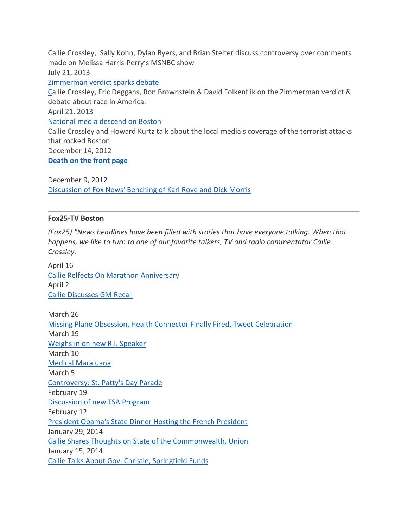Callie Crossley, Sally Kohn, Dylan Byers, and Brian Stelter discuss controversy over comments made on Melissa Harris-Perry's MSNBC show

July 21, 2013

[Zimmerman](http://www.cnn.com/video/?/video/bestoftv/2013/07/21/rs-zimmerman-verdict-sparks-debate.cnn) verdict sparks debate

[Ca](http://www.cnn.com/video/?/video/bestoftv/2013/07/21/rs-zimmerman-verdict-sparks-debate.cnn)llie Crossley, Eric Deggans, Ron Brownstein & David Folkenflik on the Zimmerman verdict & debate about race in America.

April 21, 2013

[National](http://www.cnn.com/video/#/video/bestoftv/2013/04/21/rs-national-media-descend-on-boston.cnn?iref=videosearch) media descend on Boston

Callie Crossley and Howard Kurtz talk about the local media's coverage of the terrorist attacks that rocked Boston

December 14, 2012

**[Death](http://reliablesources.blogs.cnn.com/2012/12/09/death-on-the-front-page/?iref=allsearch) on the front page**

December 9, 2012 [Discussion](http://mediamatters.org/video/2012/12/09/cnns-reliable-sources-highlights-fox-news-bench/191755) of Fox News' Benching of Karl Rove and Dick Morris

#### **Fox25-TV Boston**

*(Fox25) "News headlines have been filled with stories that have everyone talking. When that happens, we like to turn to one of our favorite talkers, TV and radio commentator Callie Crossley.*

April 16 Callie Relfects On Marathon [Anniversary](http://www.myfoxboston.com/search?vendor=ez&qu=Callie+Crossley) April 2 Callie [Discusses](http://www.myfoxboston.com/video?clipId=10009822&autostart=true) GM Recall

March 26 Missing Plane Obsession, Health Connector Finally Fired, Tweet [Celebration](http://www.myfoxboston.com/video?clipId=9961766&autostart=true) March 19 Weighs in on new R.I. [Speaker](http://www.myfoxboston.com/video?clipId=9961766&autostart=true) March 10 Medical [Marajuana](http://www.myfoxboston.com/video?clipId=9937391&autostart=true) March 5 Controversy: St. Patty's Day Parade February 19 [Discussion](http://www.myfoxboston.com/video?clipId=9857376&autostart=true) of new TSA Program February 12 [President](http://www.myfoxboston.com/video?clipId=9831904&autostart=true) Obama's State Dinner Hosting the French President January 29, 2014 Callie Shares Thoughts on State of the [Commonwealth,](http://www.myfoxboston.com/video?clipId=9780135&autostart=true) Union January 15, 2014 Callie Talks About Gov. Christie, [Springfield](http://www.myfoxboston.com/video?clipId=9731691&autostart=true) Funds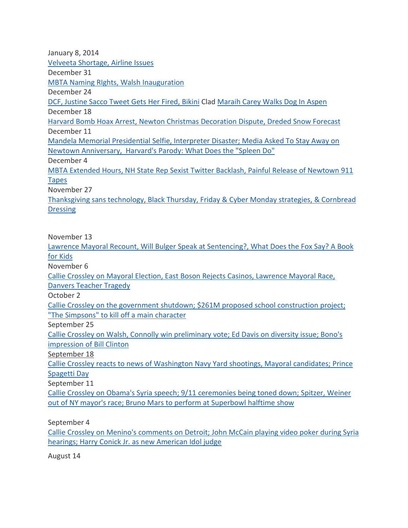January 8, 2014 Velveeta [Shortage,](http://www.myfoxboston.com/video?clipId=9707483&autostart=true) Airline Issues December 31 MBTA Naming RIghts, Walsh [Inauguration](http://www.myfoxboston.com/video?clipId=9683967&autostart=true) December 24 DCF, [Justine](http://www.myfoxboston.com/video?clipId=9665328&autostart=true) Sacco Tweet Gets Her Fired, [Bikini](http://www.myfoxboston.com/video?clipId=9665328&autostart=true) Clad [Maraih](http://www.myfoxboston.com/video?clipId=9665328&autostart=true) Carey Walks Dog In Aspen December 18 Harvard Bomb Hoax Arrest, Newton Christmas [Decoration](http://www.myfoxboston.com/video?clipId=9646521&autostart=true) Dispute, Dreded Snow Forecast December 11 Mandela Memorial [Presidential](http://www.myfoxboston.com/video?clipId=9621790&autostart=true) Selfie, Interpreter Disaster; Media Asked To Stay Away on Newtown [Anniversary, Harvard's](http://www.myfoxboston.com/video?clipId=9621790&autostart=true) Parody: What Does the "Spleen Do" December 4 MBTA Extended Hours, NH State Rep Sexist Twitter Backlash, Painful Release of [Newtown](http://www.myfoxboston.com/video?clipId=9597766&autostart=true) 911 [Tapes](http://www.myfoxboston.com/video?clipId=9597766&autostart=true) November 27 [Thanksgiving](http://www.myfoxboston.com/video?clipId=9576739&autostart=true) sans technology, Black Thursday, Friday & Cyber Monday strategies, & [Cornbread](http://www.myfoxboston.com/video?clipId=9576739&autostart=true) **[Dressing](http://www.myfoxboston.com/video?clipId=9576739&autostart=true)** November 13 Lawrence Mayoral Recount, Will Bulger Speak at [Sentencing?,](http://www.myfoxboston.com/video?clipId=9523195&autostart=true) What Does the Fox Say? A Book for [Kids](http://www.myfoxboston.com/video?clipId=9523195&autostart=true) November 6 Callie Crossley on Mayoral Election, East Boson Rejects Casinos, [Lawrence](http://www.myfoxboston.com/video?clipId=9496308&autostart=true) Mayoral Race, [Danvers](http://www.myfoxboston.com/video?clipId=9496308&autostart=true) Teacher Tragedy October 2 Callie Crossley on the government shutdown; \$261M proposed school [construction](http://www.myfoxboston.com/video?clipId=9369758&autostart=true) project; "The [Simpsons"](http://www.myfoxboston.com/video?clipId=9369758&autostart=true) to kill off a main character September 25 Callie Crossley on Walsh, Connolly win preliminary vote; Ed Davis on diversity issue; Bono's impression of Bill Clinton September 18 Callie Crossley reacts to news of [Washington](http://www.myfoxboston.com/video?clipId=9319095&autostart=true) Navy Yard shootings, Mayoral candidates; Prince [Spagetti](http://www.myfoxboston.com/video?clipId=9319095&autostart=true) Day September 11 Callie Crossley on Obama's Syria speech; 9/11 [ceremonies](http://www.myfoxboston.com/video?clipId=9293604&autostart=true) being toned down; Spitzer, Weiner

out of NY mayor's race; Bruno Mars to perform at [Superbowl](http://www.myfoxboston.com/video?clipId=9293604&autostart=true) halftime show

September 4

Callie Crossley on Menino's [comments](http://www.myfoxboston.com/video?clipId=9269214&autostart=true) on Detroit; John McCain playing video poker during Syria hearings; Harry Conick Jr. as new [American](http://www.myfoxboston.com/video?clipId=9269214&autostart=true) Idol judge

August 14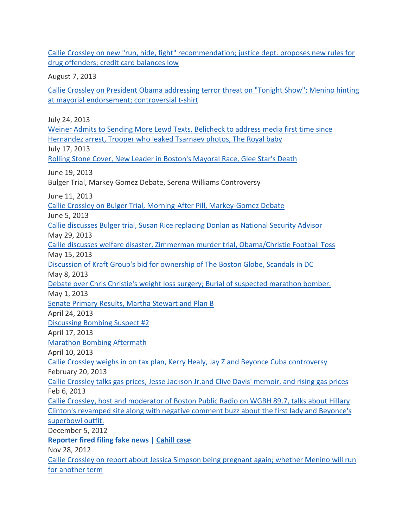Callie Crossley on new "run, hide, fight" [recommendation;](http://www.myfoxboston.com/video?clipId=9197239&autostart=true) justice dept. proposes new rules for drug [offenders;](http://www.myfoxboston.com/video?clipId=9197239&autostart=true) credit card balances low

August 7, 2013

Callie Crossley on President Obama [addressing](http://www.myfoxboston.com/video?clipId=9173301&autostart=true) terror threat on "Tonight Show"; Menino hinting at mayorial [endorsement;](http://www.myfoxboston.com/video?clipId=9173301&autostart=true) controversial t-shirt

July 24, 2013

Weiner Admits to Sending More Lewd Texts, [Belicheck](http://www.myfoxboston.com/video?clipId=9125102&autostart=true) to address media first time since [Hernandez](http://www.myfoxboston.com/video?clipId=9125102&autostart=true) arrest, Trooper who leaked Tsarnaev photos, The Royal baby July 17, 2013 Rolling Stone Cover, New Leader in [Boston's](http://www.myfoxboston.com/video?clipId=9100731&autostart=true) Mayoral Race, Glee Star's Death June 19, 2013 Bulger Trial, Markey Gomez Debate, Serena Williams Controversy June 11, 2013 Callie Crossley on Bulger Trial, Morning-After Pill, [Markey-Gomez](http://www.myfoxboston.com/video?clipId=8983266&autostart=true) Debate June 5, 2013 Callie [discusses](http://www.myfoxboston.com/video?clipId=8959654&autostart=true) Bulger trial, Susan Rice replacing Donlan as National Security Advisor May 29, 2013 Callie discusses welfare disaster, Zimmerman murder trial, [Obama/Christie](http://www.myfoxboston.com/video?clipId=8935975&autostart=true) Football Toss May 15, 2013 Discussion of Kraft Group's bid for [ownership](http://www.myfoxboston.com/video?autoStart=true&topVideoCatNo=default&clipId=8880501) of The Boston Globe, Scandals in DC May 8, 2013 Debate over Chris Christie's weight loss surgery; Burial of [suspected](http://www.myfoxboston.com/video?clipId=8855182&autostart=true) marathon bomber. May 1, 2013 Senate [Primary](http://www.myfoxboston.com/video?clipId=8829920&autostart=true) Results, Martha Stewart and Plan B April 24, 2013 [Discussing](http://www.myfoxboston.com/video?clipId=8805269&autostart=true) Bombing Suspect #2 April 17, 2013 Marathon Bombing [Aftermath](http://www.myfoxboston.com/video?clipId=8782870&autostart=true) April 10, 2013 Callie Crossley weighs in on tax plan, Kerry Healy, Jay Z and Beyonce Cuba [controversy](http://www.myfoxboston.com/video?clipId=8759507&autostart=true) February 20, 2013 Callie Crossley talks gas prices, Jesse Jackson Jr.and Clive Davis' [memoir,](http://www.myfoxboston.com/video?clipId=8438740&autostart=true) and rising gas prices Feb 6, 2013 Callie Crossley, host and [moderator](http://www.myfoxboston.com/search?vendor=ez&qu=Callie+Crossley#ixzz2SVVujYzy) of Boston Public Radio on WGBH 89.7, talks about Hillary Clinton's [revamped](http://www.myfoxboston.com/search?vendor=ez&qu=Callie+Crossley#ixzz2SVVujYzy) site along with negative comment buzz about the first lady and Beyonce's [superbowl](http://www.myfoxboston.com/search?vendor=ez&qu=Callie+Crossley#ixzz2SVVujYzy) outfit. December 5, 2012 **[Reporter](http://www.myfoxboston.com/video?clipId=8033490&autostart=true) fired filing fake news | [Cahill](http://www.myfoxboston.com/video?clipId=8033490&autostart=true) cas[e](http://www.myfoxboston.com/video?clipId=8033490&autostart=true)** Nov 28, 2012 Callie Crossley on report about Jessica Simpson being [pregnant](http://www.myfoxboston.com/story/20203832/2012/11/28/callie-crossley-on-report-about-jessica-simpson-being-pregnant-again-whether-menino-will-run-for-another-term) again; whether Menino will run for [another](http://www.myfoxboston.com/story/20203832/2012/11/28/callie-crossley-on-report-about-jessica-simpson-being-pregnant-again-whether-menino-will-run-for-another-term) term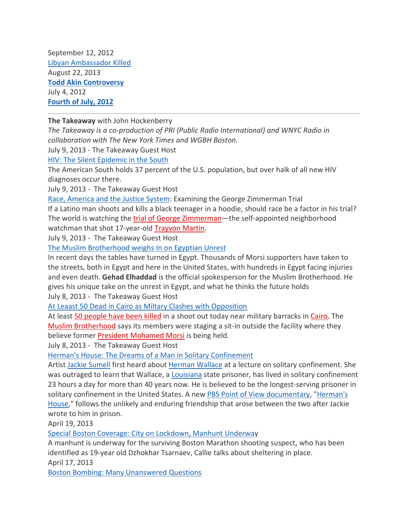September 12, 2012 Libyan [Ambassador](http://www.myfoxboston.com/story/19521622/2012/09/12/callie-crossley-interview) Killed August 22, 2013 **Todd Akin [Controversy](http://www.myfoxboston.com/story/19339460/2012/08/22/callie-crossley-interview)** July 4, 2012 **[Fourth](http://http/www.myfoxboston.com/story/18948752/whats-in-the-news-with-callie-crossley) of July, 2012**

### **The Takeaway** with John Hockenberry

*The Takeaway is a co-production of PRI (Public Radio International) and WNYC Radio in collaboration with The New York Times and WGBH Boston.*

July 9, 2013 - The Takeaway Guest Host

HIV: The Silent [Epidemic](http://www.thetakeaway.org/2013/jul/09/silent-epidemic-south/) in the South

The American South holds 37 percent of the U.S. population, but over halk of all new HIV diagnoses occur there.

July 9, 2013 - The Takeaway Guest Host

Race, [America](http://www.thetakeaway.org/2013/jul/09/race-america-and-justice-system-examining-george-zimmerman-trial/) and the Justice System: Examining the George Zimmerman Trial If a Latino man shoots and kills a black teenager in a hoodie, should race be a factor in his trial? The world is watching the trial of George [Zimmerman](http://www.huffingtonpost.com/2013/07/08/george-zimmerman-trial-defense_n_3560788.html)—the self-appointed neighborhood watchman that shot 17-year-old [Trayvon](http://www.orlandosentinel.com/news/local/trayvon-martin/) Martin.

July 9, 2013 - The Takeaway Guest Host

The Muslim [Brotherhood](http://www.thetakeaway.org/2013/jul/09/muslim-brotherhood-unrest-egypt/) weighs In on Egyptian Unrest

In recent days the tables have turned in Egypt. Thousands of Morsi supporters have taken to the streets, both in Egypt and here in the United States, with hundreds in Egypt facing injuries and even death. **Gehad Elhaddad** is the official spokesperson for the Muslim Brotherhood. He gives his unique take on the unrest in Egypt, and what he thinks the future holds July 8, 2013 - The Takeaway Guest Host

At Leaast 50 Dead in Cairo as Miltary Clashes with [Opposition](http://www.thetakeaway.org/2013/jul/08/40-dead-cairo-military-clashes-opposition/)

At least 50 [people](http://www.nytimes.com/2013/07/09/world/middleeast/egypt.html?hp) have been killed in a shoot out today near military barracks in [Cairo.](http://www.aljazeera.com/news/middleeast/2013/07/20137884857657920.html) The Muslim [Brotherhood](http://www.ikhwanweb.com/) says its members were staging a sit-in outside the facility where they believe former President [Mohamed](http://topics.nytimes.com/top/reference/timestopics/people/m/mohamed_morsi/index.html) Morsi is being held.

July 8, 2013 - The Takeaway Guest Host

Herman's House: The Dreams of a Man in Solitary [Confinement](http://www.thetakeaway.org/2013/jul/08/house/)

Artist Jackie [Sumell](https://twitter.com/jackiesumell) first heard about [Herman](http://www.amnestyusa.org/our-work/cases/usa-the-angola-3) Wallace at a lecture on solitary confinement. She was outraged to learn that Wallace, a [Louisiana](http://louisiana.gov/) state prisoner, has lived in solitary confinement 23 hours a day for more than 40 years now. He is believed to be the longest-serving prisoner in solitary confinement in the United States. A new PBS Point of View [documentary,](http://www.pbs.org/pov/) ["Herman's](http://hermanshousethefilm.com/) [House,](http://hermanshousethefilm.com/)" follows the unlikely and enduring friendship that arose between the two after Jackie wrote to him in prison.

April 19, 2013

Special Boston Coverage: City on [Lockdown,](http://www.thetakeaway.org/search/?q=April+19%2C+2013#q=April%2019,%202013) Manhunt Underway

A manhunt is underway for the surviving Boston Marathon shooting suspect, who has been identified as 19-year old Dzhokhar Tsarnaev, Callie talks about sheltering in place. April 17, 2013

Boston Bombing: Many [Unanswered](http://www.thetakeaway.org/2013/apr/17/update-boston/) Questions